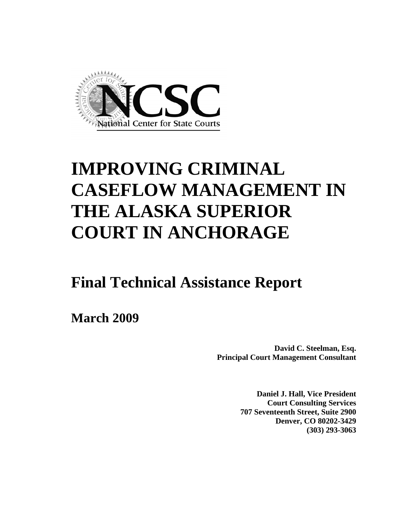

# **IMPROVING CRIMINAL CASEFLOW MANAGEMENT IN THE ALASKA SUPERIOR COURT IN ANCHORAGE**

# **Final Technical Assistance Report**

**March 2009**

**David C. Steelman, Esq. Principal Court Management Consultant** 

> **Daniel J. Hall, Vice President Court Consulting Services 707 Seventeenth Street, Suite 2900 Denver, CO 80202-3429 (303) 293-3063**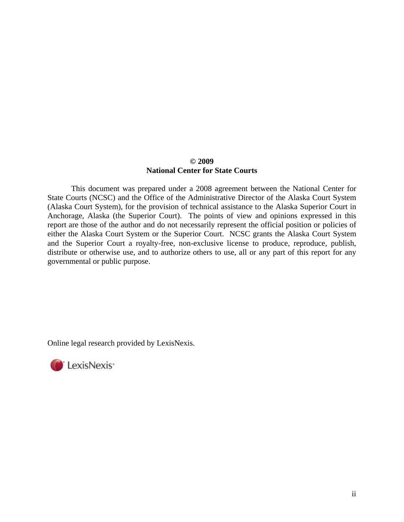#### **© 2009 National Center for State Courts**

This document was prepared under a 2008 agreement between the National Center for State Courts (NCSC) and the Office of the Administrative Director of the Alaska Court System (Alaska Court System), for the provision of technical assistance to the Alaska Superior Court in Anchorage, Alaska (the Superior Court). The points of view and opinions expressed in this report are those of the author and do not necessarily represent the official position or policies of either the Alaska Court System or the Superior Court. NCSC grants the Alaska Court System and the Superior Court a royalty-free, non-exclusive license to produce, reproduce, publish, distribute or otherwise use, and to authorize others to use, all or any part of this report for any governmental or public purpose.

Online legal research provided by LexisNexis.

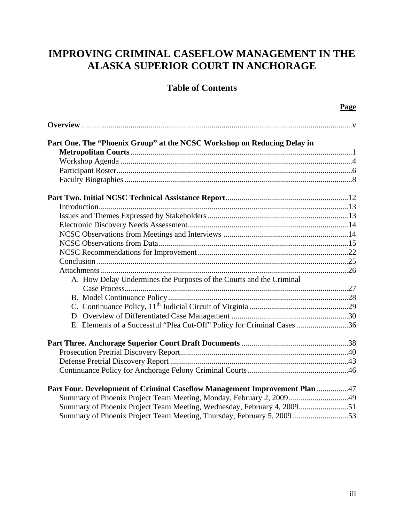## **IMPROVING CRIMINAL CASEFLOW MANAGEMENT IN THE ALASKA SUPERIOR COURT IN ANCHORAGE**

### **Table of Contents**

| Part One. The "Phoenix Group" at the NCSC Workshop on Reducing Delay in    |  |
|----------------------------------------------------------------------------|--|
|                                                                            |  |
|                                                                            |  |
|                                                                            |  |
|                                                                            |  |
|                                                                            |  |
|                                                                            |  |
|                                                                            |  |
|                                                                            |  |
|                                                                            |  |
|                                                                            |  |
|                                                                            |  |
|                                                                            |  |
|                                                                            |  |
| A. How Delay Undermines the Purposes of the Courts and the Criminal        |  |
|                                                                            |  |
|                                                                            |  |
|                                                                            |  |
|                                                                            |  |
| E. Elements of a Successful "Plea Cut-Off" Policy for Criminal Cases 36    |  |
|                                                                            |  |
|                                                                            |  |
|                                                                            |  |
|                                                                            |  |
| Part Four. Development of Criminal Caseflow Management Improvement Plan 47 |  |
| Summary of Phoenix Project Team Meeting, Monday, February 2, 2009 49       |  |
|                                                                            |  |
|                                                                            |  |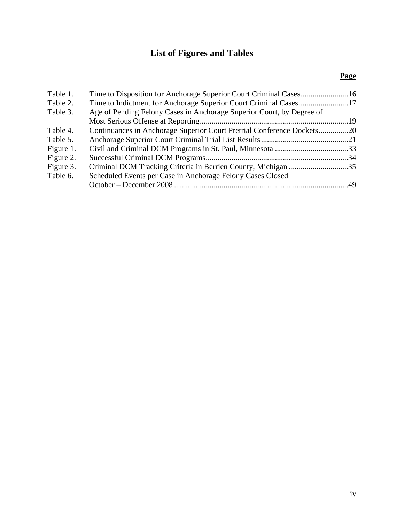## **List of Figures and Tables**

### **Page**

| Table 1.  |                                                                        |  |
|-----------|------------------------------------------------------------------------|--|
| Table 2.  |                                                                        |  |
| Table 3.  | Age of Pending Felony Cases in Anchorage Superior Court, by Degree of  |  |
|           |                                                                        |  |
| Table 4.  | Continuances in Anchorage Superior Court Pretrial Conference Dockets20 |  |
| Table 5.  |                                                                        |  |
| Figure 1. |                                                                        |  |
| Figure 2. |                                                                        |  |
| Figure 3. | Criminal DCM Tracking Criteria in Berrien County, Michigan 35          |  |
| Table 6.  | Scheduled Events per Case in Anchorage Felony Cases Closed             |  |
|           |                                                                        |  |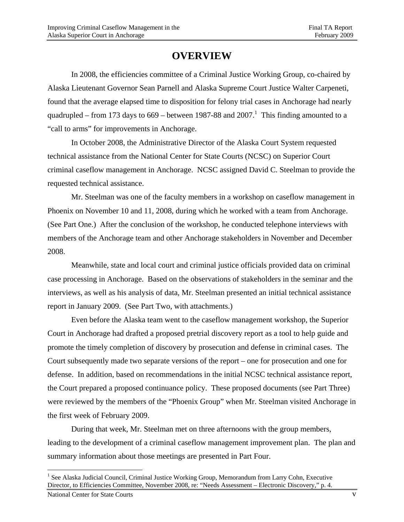## **OVERVIEW**

 In 2008, the efficiencies committee of a Criminal Justice Working Group, co-chaired by Alaska Lieutenant Governor Sean Parnell and Alaska Supreme Court Justice Walter Carpeneti, found that the average elapsed time to disposition for felony trial cases in Anchorage had nearly quadrupled – from 173 days to 669 – between 1987-88 and  $2007$ .<sup>1</sup> This finding amounted to a "call to arms" for improvements in Anchorage.

 In October 2008, the Administrative Director of the Alaska Court System requested technical assistance from the National Center for State Courts (NCSC) on Superior Court criminal caseflow management in Anchorage. NCSC assigned David C. Steelman to provide the requested technical assistance.

Mr. Steelman was one of the faculty members in a workshop on caseflow management in Phoenix on November 10 and 11, 2008, during which he worked with a team from Anchorage. (See Part One.) After the conclusion of the workshop, he conducted telephone interviews with members of the Anchorage team and other Anchorage stakeholders in November and December 2008.

Meanwhile, state and local court and criminal justice officials provided data on criminal case processing in Anchorage. Based on the observations of stakeholders in the seminar and the interviews, as well as his analysis of data, Mr. Steelman presented an initial technical assistance report in January 2009. (See Part Two, with attachments.)

Even before the Alaska team went to the caseflow management workshop, the Superior Court in Anchorage had drafted a proposed pretrial discovery report as a tool to help guide and promote the timely completion of discovery by prosecution and defense in criminal cases. The Court subsequently made two separate versions of the report – one for prosecution and one for defense. In addition, based on recommendations in the initial NCSC technical assistance report, the Court prepared a proposed continuance policy. These proposed documents (see Part Three) were reviewed by the members of the "Phoenix Group" when Mr. Steelman visited Anchorage in the first week of February 2009.

During that week, Mr. Steelman met on three afternoons with the group members, leading to the development of a criminal caseflow management improvement plan. The plan and summary information about those meetings are presented in Part Four.

 $\overline{a}$ <sup>1</sup> See Alaska Judicial Council, Criminal Justice Working Group, Memorandum from Larry Cohn, Executive Director, to Efficiencies Committee, November 2008, re: "Needs Assessment – Electronic Discovery," p. 4.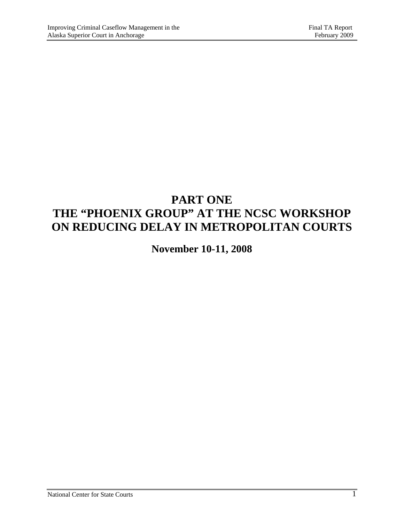## **PART ONE THE "PHOENIX GROUP" AT THE NCSC WORKSHOP ON REDUCING DELAY IN METROPOLITAN COURTS**

**November 10-11, 2008**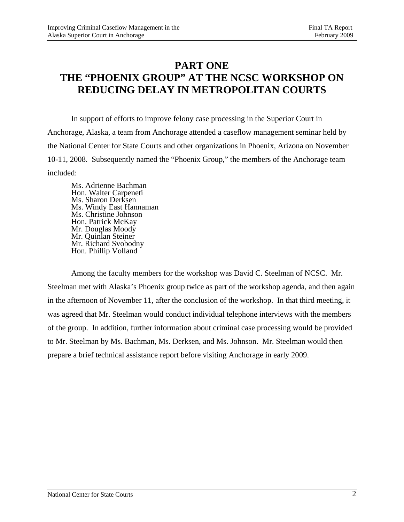## **PART ONE THE "PHOENIX GROUP" AT THE NCSC WORKSHOP ON REDUCING DELAY IN METROPOLITAN COURTS**

 In support of efforts to improve felony case processing in the Superior Court in Anchorage, Alaska, a team from Anchorage attended a caseflow management seminar held by the National Center for State Courts and other organizations in Phoenix, Arizona on November 10-11, 2008. Subsequently named the "Phoenix Group," the members of the Anchorage team included:

Ms. Adrienne Bachman Hon. Walter Carpeneti Ms. Sharon Derksen Ms. Windy East Hannaman Ms. Christine Johnson Hon. Patrick McKay Mr. Douglas Moody Mr. Quinlan Steiner Mr. Richard Svobodny Hon. Phillip Volland

 Among the faculty members for the workshop was David C. Steelman of NCSC. Mr. Steelman met with Alaska's Phoenix group twice as part of the workshop agenda, and then again in the afternoon of November 11, after the conclusion of the workshop. In that third meeting, it was agreed that Mr. Steelman would conduct individual telephone interviews with the members of the group. In addition, further information about criminal case processing would be provided to Mr. Steelman by Ms. Bachman, Ms. Derksen, and Ms. Johnson. Mr. Steelman would then prepare a brief technical assistance report before visiting Anchorage in early 2009.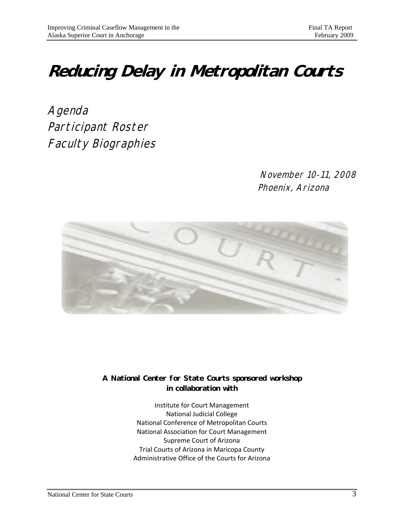# **Reducing Delay in Metropolitan Courts**

Agenda Participant Roster Faculty Biographies

> November 10-11, 2008 Phoenix, Arizona



**A National Center for State Courts sponsored workshop in collaboration with** 

> Institute for Court Management National Judicial College National Conference of Metropolitan Courts National Association for Court Management Supreme Court of Arizona Trial Courts of Arizona in Maricopa County Administrative Office of the Courts for Arizona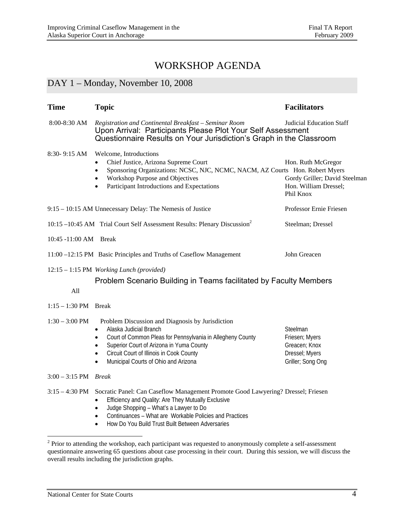### WORKSHOP AGENDA

### DAY 1 – Monday, November 10, 2008

| <b>Time</b>                   | <b>Topic</b>                                                                                                                                                                                                                                                                                                                                                        | <b>Facilitators</b>                                                                       |  |  |  |  |  |
|-------------------------------|---------------------------------------------------------------------------------------------------------------------------------------------------------------------------------------------------------------------------------------------------------------------------------------------------------------------------------------------------------------------|-------------------------------------------------------------------------------------------|--|--|--|--|--|
| $8:00-8:30$ AM                | Registration and Continental Breakfast - Seminar Room<br>Judicial Education Staff<br>Upon Arrival: Participants Please Plot Your Self Assessment<br>Questionnaire Results on Your Jurisdiction's Graph in the Classroom                                                                                                                                             |                                                                                           |  |  |  |  |  |
| 8:30-9:15 AM                  | Welcome, Introductions<br>Chief Justice, Arizona Supreme Court<br>Sponsoring Organizations: NCSC, NJC, NCMC, NACM, AZ Courts Hon. Robert Myers<br>$\bullet$<br>Workshop Purpose and Objectives<br>$\bullet$<br>Participant Introductions and Expectations<br>$\bullet$                                                                                              | Hon. Ruth McGregor<br>Gordy Griller; David Steelman<br>Hon. William Dressel;<br>Phil Knox |  |  |  |  |  |
|                               | 9:15 - 10:15 AM Unnecessary Delay: The Nemesis of Justice                                                                                                                                                                                                                                                                                                           | Professor Ernie Friesen                                                                   |  |  |  |  |  |
|                               | 10:15 -10:45 AM Trial Court Self Assessment Results: Plenary Discussion <sup>2</sup>                                                                                                                                                                                                                                                                                | Steelman; Dressel                                                                         |  |  |  |  |  |
| 10:45 -11:00 AM Break         |                                                                                                                                                                                                                                                                                                                                                                     |                                                                                           |  |  |  |  |  |
|                               | 11:00 -12:15 PM Basic Principles and Truths of Caseflow Management                                                                                                                                                                                                                                                                                                  | John Greacen                                                                              |  |  |  |  |  |
| All                           | 12:15 - 1:15 PM Working Lunch (provided)<br>Problem Scenario Building in Teams facilitated by Faculty Members                                                                                                                                                                                                                                                       |                                                                                           |  |  |  |  |  |
| $1:15 - 1:30$ PM Break        |                                                                                                                                                                                                                                                                                                                                                                     |                                                                                           |  |  |  |  |  |
| $1:30 - 3:00 \text{ PM}$      | Problem Discussion and Diagnosis by Jurisdiction<br>Alaska Judicial Branch<br>$\bullet$<br>Court of Common Pleas for Pennsylvania in Allegheny County<br>$\bullet$<br>Superior Court of Arizona in Yuma County<br>$\bullet$<br>Circuit Court of Illinois in Cook County<br>$\bullet$<br>Municipal Courts of Ohio and Arizona                                        | Steelman<br>Friesen; Myers<br>Greacen; Knox<br>Dressel; Myers<br>Griller; Song Ong        |  |  |  |  |  |
| $3:00 - 3:15$ PM <i>Break</i> |                                                                                                                                                                                                                                                                                                                                                                     |                                                                                           |  |  |  |  |  |
|                               | 3:15 - 4:30 PM Socratic Panel: Can Caseflow Management Promote Good Lawyering? Dressel; Friesen<br>Efficiency and Quality: Are They Mutually Exclusive<br>$\bullet$<br>Judge Shopping - What's a Lawyer to Do<br>$\bullet$<br>Continuances - What are Workable Policies and Practices<br>$\bullet$<br>How Do You Build Trust Built Between Adversaries<br>$\bullet$ |                                                                                           |  |  |  |  |  |

<sup>&</sup>lt;sup>2</sup> Prior to attending the workshop, each participant was requested to anonymously complete a self-assessment questionnaire answering 65 questions about case processing in their court. During this session, we will discuss the overall results including the jurisdiction graphs.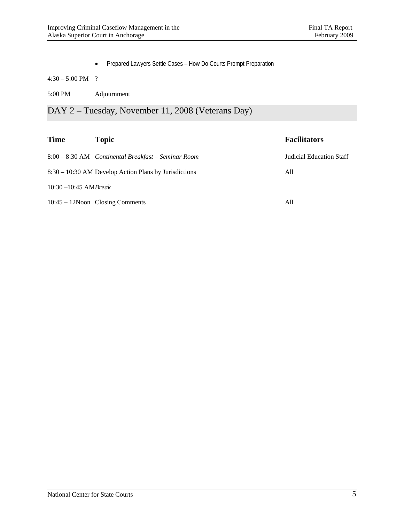Prepared Lawyers Settle Cases – How Do Courts Prompt Preparation

4:30 – 5:00 PM ?

5:00 PM Adjournment

DAY 2 – Tuesday, November 11, 2008 (Veterans Day)

| <b>Time</b>             | <b>Topic</b>                                            | <b>Facilitators</b>      |
|-------------------------|---------------------------------------------------------|--------------------------|
|                         | 8:00 – 8:30 AM Continental Breakfast – Seminar Room     | Judicial Education Staff |
|                         | $8:30 - 10:30$ AM Develop Action Plans by Jurisdictions | All                      |
| $10:30 - 10:45$ AMBreak |                                                         |                          |
|                         | $10:45 - 12N$ oon Closing Comments                      | All                      |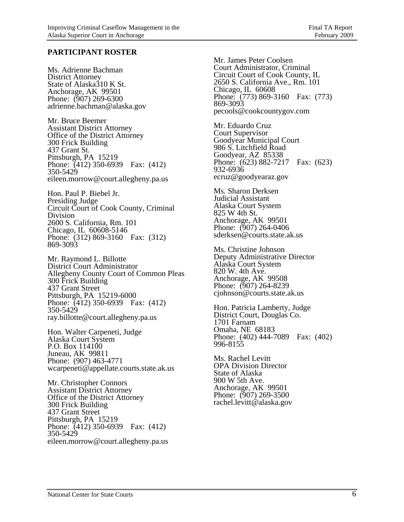#### **PARTICIPANT ROSTER**

Ms. Adrienne Bachman District Attorney State of Alaska310 K St. Anchorage, AK 99501 Phone: (907) 269-6300 adrienne.bachman@alaska.gov

Mr. Bruce Beemer Assistant District Attorney Office of the District Attorney 300 Frick Building 437 Grant St. Pittsburgh, PA 15219 Phone: (412) 350-6939 Fax: (412) 350-5429 eileen.morrow@court.allegheny.pa.us

Hon. Paul P. Biebel Jr. Presiding Judge Circuit Court of Cook County, Criminal Division 2600 S. California, Rm. 101 Chicago, IL 60608-5146 Phone: (312) 869-3160 Fax: (312) 869-3093

Mr. Raymond L. Billotte District Court Administrator Allegheny County Court of Common Pleas 300 Frick Building 437 Grant Street Pittsburgh, PA 15219-6000 Phone: (412) 350-6939 Fax: (412) 350-5429 ray.billotte@court.allegheny.pa.us

Hon. Walter Carpeneti, Judge Alaska Court System P.O. Box 114100 Juneau, AK 99811 Phone: (907) 463-4771 wcarpeneti@appellate.courts.state.ak.us

Mr. Christopher Connors Assistant District Attorney Office of the District Attorney 300 Frick Building 437 Grant Street Pittsburgh, PA 15219 Phone: (412) 350-6939 Fax: (412) 350-5429 eileen.morrow@court.allegheny.pa.us

Mr. James Peter Coolsen Court Administrator, Criminal Circuit Court of Cook County, IL 2650 S. California Ave., Rm. 101 Chicago, IL 60608 Phone: (773) 869-3160 Fax: (773) 869-3093 pecools@cookcountygov.com

Mr. Eduardo Cruz Court Supervisor Goodyear Municipal Court 986 S. Litchfield Road Goodyear, AZ 85338 Phone: (623) 882-7217 Fax: (623) 932-6936 ecruz@goodyearaz.gov

Ms. Sharon Derksen Judicial Assistant Alaska Court System 825 W 4th St. Anchorage, AK 99501 Phone: (907) 264-0406 sderksen@courts.state.ak.us

Ms. Christine Johnson Deputy Administrative Director Alaska Court System 820 W. 4th Ave. Anchorage, AK 99508 Phone: (907) 264-8239 cjohnson@courts.state.ak.us

Hon. Patricia Lamberty, Judge District Court, Douglas Co. 1701 Farnam Omaha, NE 68183 Phone: (402) 444-7089 Fax: (402) 996-8155

Ms. Rachel Levitt OPA Division Director State of Alaska 900 W 5th Ave. Anchorage, AK 99501 Phone: (907) 269-3500 rachel.levitt@alaska.gov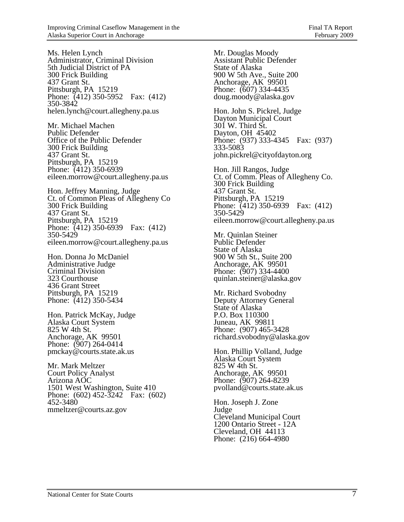Ms. Helen Lynch Administrator, Criminal Division 5th Judicial District of PA 300 Frick Building 437 Grant St. Pittsburgh, PA 15219 Phone: (412) 350-5952 Fax: (412) 350-3842 helen.lynch@court.allegheny.pa.us

Mr. Michael Machen Public Defender Office of the Public Defender 300 Frick Building 437 Grant St. Pittsburgh, PA 15219 Phone: (412) 350-6939 eileen.morrow@court.allegheny.pa.us

Hon. Jeffrey Manning, Judge Ct. of Common Pleas of Allegheny Co 300 Frick Building 437 Grant St. Pittsburgh, PA 15219 Phone: (412) 350-6939 Fax: (412) 350-5429 eileen.morrow@court.allegheny.pa.us

Hon. Donna Jo McDaniel Administrative Judge Criminal Division 323 Courthouse 436 Grant Street Pittsburgh, PA 15219 Phone: (412) 350-5434

Hon. Patrick McKay, Judge Alaska Court System 825 W 4th St. Anchorage, AK 99501 Phone: (907) 264-0414 pmckay@courts.state.ak.us

Mr. Mark Meltzer Court Policy Analyst Arizona AOC 1501 West Washington, Suite 410 Phone: (602) 452-3242 Fax: (602) 452-3480 mmeltzer@courts.az.gov

Mr. Douglas Moody Assistant Public Defender State of Alaska 900 W 5th Ave., Suite 200 Anchorage, AK 99501 Phone: (607) 334-4435 doug.moody@alaska.gov

Hon. John S. Pickrel, Judge Dayton Municipal Court 301 W. Third St. Dayton, OH 45402 Phone: (937) 333-4345 Fax: (937) 333-5083 john.pickrel@cityofdayton.org

Hon. Jill Rangos, Judge Ct. of Comm. Pleas of Allegheny Co. 300 Frick Building 437 Grant St. Pittsburgh, PA 15219 Phone: (412) 350-6939 Fax: (412) 350-5429 eileen.morrow@court.allegheny.pa.us

Mr. Quinlan Steiner Public Defender State of Alaska 900 W 5th St., Suite 200 Anchorage, AK 99501 Phone: (907) 334-4400 quinlan.steiner@alaska.gov

Mr. Richard Svobodny Deputy Attorney General State of Alaska P.O. Box 110300 Juneau, AK 99811 Phone: (907) 465-3428 richard.svobodny@alaska.gov

Hon. Phillip Volland, Judge Alaska Court System 825 W 4th St. Anchorage, AK 99501 Phone: (907) 264-8239 pvolland@courts.state.ak.us

Hon. Joseph J. Zone Judge Cleveland Municipal Court 1200 Ontario Street - 12A Cleveland, OH 44113 Phone: (216) 664-4980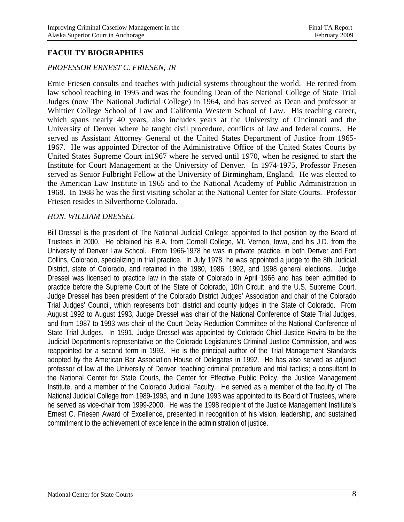#### **FACULTY BIOGRAPHIES**

#### *PROFESSOR ERNEST C. FRIESEN, JR*

Ernie Friesen consults and teaches with judicial systems throughout the world. He retired from law school teaching in 1995 and was the founding Dean of the National College of State Trial Judges (now The National Judicial College) in 1964, and has served as Dean and professor at Whittier College School of Law and California Western School of Law. His teaching career, which spans nearly 40 years, also includes years at the University of Cincinnati and the University of Denver where he taught civil procedure, conflicts of law and federal courts. He served as Assistant Attorney General of the United States Department of Justice from 1965- 1967. He was appointed Director of the Administrative Office of the United States Courts by United States Supreme Court in1967 where he served until 1970, when he resigned to start the Institute for Court Management at the University of Denver. In 1974-1975, Professor Friesen served as Senior Fulbright Fellow at the University of Birmingham, England. He was elected to the American Law Institute in 1965 and to the National Academy of Public Administration in 1968. In 1988 he was the first visiting scholar at the National Center for State Courts. Professor Friesen resides in Silverthorne Colorado.

#### *HON. WILLIAM DRESSEL*

Bill Dressel is the president of The National Judicial College; appointed to that position by the Board of Trustees in 2000. He obtained his B.A. from Cornell College, Mt. Vernon, Iowa, and his J.D. from the University of Denver Law School. From 1966-1978 he was in private practice, in both Denver and Fort Collins, Colorado, specializing in trial practice. In July 1978, he was appointed a judge to the 8th Judicial District, state of Colorado, and retained in the 1980, 1986, 1992, and 1998 general elections. Judge Dressel was licensed to practice law in the state of Colorado in April 1966 and has been admitted to practice before the Supreme Court of the State of Colorado, 10th Circuit, and the U.S. Supreme Court. Judge Dressel has been president of the Colorado District Judges' Association and chair of the Colorado Trial Judges' Council, which represents both district and county judges in the State of Colorado. From August 1992 to August 1993, Judge Dressel was chair of the National Conference of State Trial Judges, and from 1987 to 1993 was chair of the Court Delay Reduction Committee of the National Conference of State Trial Judges. In 1991, Judge Dressel was appointed by Colorado Chief Justice Rovira to be the Judicial Department's representative on the Colorado Legislature's Criminal Justice Commission, and was reappointed for a second term in 1993. He is the principal author of the Trial Management Standards adopted by the American Bar Association House of Delegates in 1992. He has also served as adjunct professor of law at the University of Denver, teaching criminal procedure and trial tactics; a consultant to the National Center for State Courts, the Center for Effective Public Policy, the Justice Management Institute, and a member of the Colorado Judicial Faculty. He served as a member of the faculty of The National Judicial College from 1989-1993, and in June 1993 was appointed to its Board of Trustees, where he served as vice-chair from 1999-2000. He was the 1998 recipient of the Justice Management Institute's Ernest C. Friesen Award of Excellence, presented in recognition of his vision, leadership, and sustained commitment to the achievement of excellence in the administration of justice.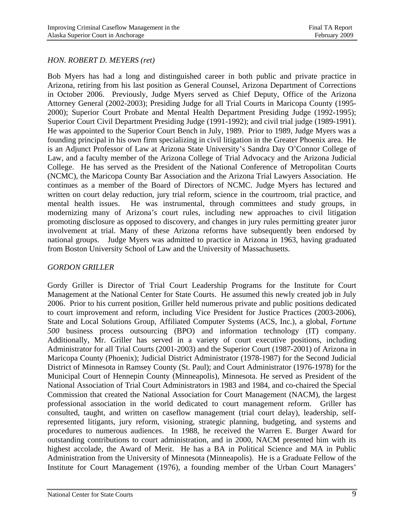#### *HON. ROBERT D. MEYERS (ret)*

Bob Myers has had a long and distinguished career in both public and private practice in Arizona, retiring from his last position as General Counsel, Arizona Department of Corrections in October 2006. Previously, Judge Myers served as Chief Deputy, Office of the Arizona Attorney General (2002-2003); Presiding Judge for all Trial Courts in Maricopa County (1995- 2000); Superior Court Probate and Mental Health Department Presiding Judge (1992-1995); Superior Court Civil Department Presiding Judge (1991-1992); and civil trial judge (1989-1991). He was appointed to the Superior Court Bench in July, 1989. Prior to 1989, Judge Myers was a founding principal in his own firm specializing in civil litigation in the Greater Phoenix area. He is an Adjunct Professor of Law at Arizona State University's Sandra Day O'Connor College of Law, and a faculty member of the Arizona College of Trial Advocacy and the Arizona Judicial College. He has served as the President of the National Conference of Metropolitan Courts (NCMC), the Maricopa County Bar Association and the Arizona Trial Lawyers Association. He continues as a member of the Board of Directors of NCMC. Judge Myers has lectured and written on court delay reduction, jury trial reform, science in the courtroom, trial practice, and mental health issues. He was instrumental, through committees and study groups, in modernizing many of Arizona's court rules, including new approaches to civil litigation promoting disclosure as opposed to discovery, and changes in jury rules permitting greater juror involvement at trial. Many of these Arizona reforms have subsequently been endorsed by national groups. Judge Myers was admitted to practice in Arizona in 1963, having graduated from Boston University School of Law and the University of Massachusetts.

#### *GORDON GRILLER*

Gordy Griller is Director of Trial Court Leadership Programs for the Institute for Court Management at the National Center for State Courts. He assumed this newly created job in July 2006. Prior to his current position, Griller held numerous private and public positions dedicated to court improvement and reform, including Vice President for Justice Practices (2003-2006), State and Local Solutions Group, Affiliated Computer Systems (ACS, Inc.), a global, *Fortune 500* business process outsourcing (BPO) and information technology (IT) company. Additionally, Mr. Griller has served in a variety of court executive positions, including Administrator for all Trial Courts (2001-2003) and the Superior Court (1987-2001) of Arizona in Maricopa County (Phoenix); Judicial District Administrator (1978-1987) for the Second Judicial District of Minnesota in Ramsey County (St. Paul); and Court Administrator (1976-1978) for the Municipal Court of Hennepin County (Minneapolis), Minnesota. He served as President of the National Association of Trial Court Administrators in 1983 and 1984, and co-chaired the Special Commission that created the National Association for Court Management (NACM), the largest professional association in the world dedicated to court management reform. Griller has consulted, taught, and written on caseflow management (trial court delay), leadership, selfrepresented litigants, jury reform, visioning, strategic planning, budgeting, and systems and procedures to numerous audiences. In 1988, he received the Warren E. Burger Award for outstanding contributions to court administration, and in 2000, NACM presented him with its highest accolade, the Award of Merit. He has a BA in Political Science and MA in Public Administration from the University of Minnesota (Minneapolis). He is a Graduate Fellow of the Institute for Court Management (1976), a founding member of the Urban Court Managers'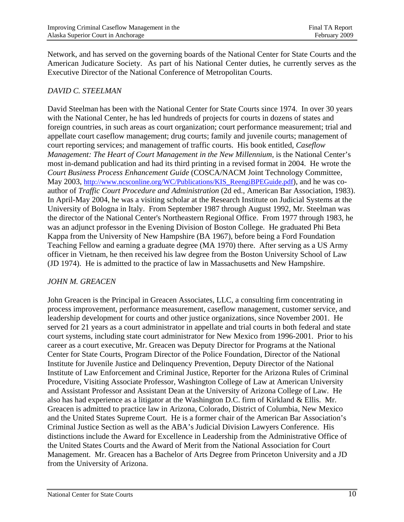Network, and has served on the governing boards of the National Center for State Courts and the American Judicature Society. As part of his National Center duties, he currently serves as the Executive Director of the National Conference of Metropolitan Courts.

#### *DAVID C. STEELMAN*

David Steelman has been with the National Center for State Courts since 1974. In over 30 years with the National Center, he has led hundreds of projects for courts in dozens of states and foreign countries, in such areas as court organization; court performance measurement; trial and appellate court caseflow management; drug courts; family and juvenile courts; management of court reporting services; and management of traffic courts. His book entitled, *Caseflow Management: The Heart of Court Management in the New Millennium,* is the National Center's most in-demand publication and had its third printing in a revised format in 2004. He wrote the *Court Business Process Enhancement Guide* (COSCA/NACM Joint Technology Committee, May 2003, http://www.ncsconline.org/WC/Publications/KIS\_ReengiBPEGuide.pdf), and he was coauthor of *Traffic Court Procedure and Administration* (2d ed., American Bar Association, 1983). In April-May 2004, he was a visiting scholar at the Research Institute on Judicial Systems at the University of Bologna in Italy. From September 1987 through August 1992, Mr. Steelman was the director of the National Center's Northeastern Regional Office. From 1977 through 1983, he was an adjunct professor in the Evening Division of Boston College. He graduated Phi Beta Kappa from the University of New Hampshire (BA 1967), before being a Ford Foundation Teaching Fellow and earning a graduate degree (MA 1970) there. After serving as a US Army officer in Vietnam, he then received his law degree from the Boston University School of Law (JD 1974). He is admitted to the practice of law in Massachusetts and New Hampshire.

#### *JOHN M. GREACEN*

 John Greacen is the Principal in Greacen Associates, LLC, a consulting firm concentrating in process improvement, performance measurement, caseflow management, customer service, and leadership development for courts and other justice organizations, since November 2001. He served for 21 years as a court administrator in appellate and trial courts in both federal and state court systems, including state court administrator for New Mexico from 1996-2001. Prior to his career as a court executive, Mr. Greacen was Deputy Director for Programs at the National Center for State Courts, Program Director of the Police Foundation, Director of the National Institute for Juvenile Justice and Delinquency Prevention, Deputy Director of the National Institute of Law Enforcement and Criminal Justice, Reporter for the Arizona Rules of Criminal Procedure, Visiting Associate Professor, Washington College of Law at American University and Assistant Professor and Assistant Dean at the University of Arizona College of Law. He also has had experience as a litigator at the Washington D.C. firm of Kirkland & Ellis. Mr. Greacen is admitted to practice law in Arizona, Colorado, District of Columbia, New Mexico and the United States Supreme Court. He is a former chair of the American Bar Association's Criminal Justice Section as well as the ABA's Judicial Division Lawyers Conference. His distinctions include the Award for Excellence in Leadership from the Administrative Office of the United States Courts and the Award of Merit from the National Association for Court Management. Mr. Greacen has a Bachelor of Arts Degree from Princeton University and a JD from the University of Arizona.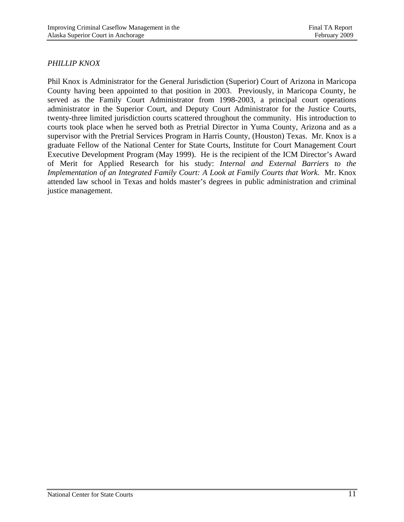#### *PHILLIP KNOX*

Phil Knox is Administrator for the General Jurisdiction (Superior) Court of Arizona in Maricopa County having been appointed to that position in 2003. Previously, in Maricopa County, he served as the Family Court Administrator from 1998-2003, a principal court operations administrator in the Superior Court, and Deputy Court Administrator for the Justice Courts, twenty-three limited jurisdiction courts scattered throughout the community. His introduction to courts took place when he served both as Pretrial Director in Yuma County, Arizona and as a supervisor with the Pretrial Services Program in Harris County, (Houston) Texas. Mr. Knox is a graduate Fellow of the National Center for State Courts, Institute for Court Management Court Executive Development Program (May 1999). He is the recipient of the ICM Director's Award of Merit for Applied Research for his study: *Internal and External Barriers to the Implementation of an Integrated Family Court: A Look at Family Courts that Work*. Mr. Knox attended law school in Texas and holds master's degrees in public administration and criminal justice management.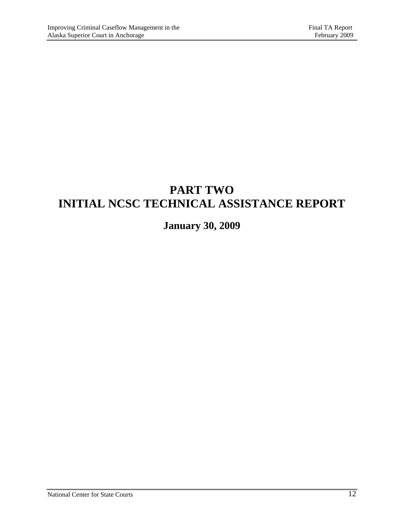## **PART TWO INITIAL NCSC TECHNICAL ASSISTANCE REPORT**

## **January 30, 2009**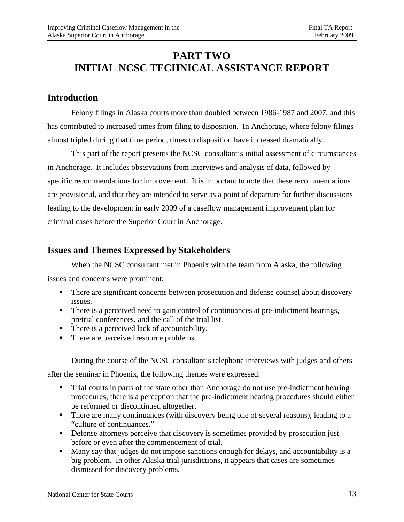## **PART TWO INITIAL NCSC TECHNICAL ASSISTANCE REPORT**

### **Introduction**

 Felony filings in Alaska courts more than doubled between 1986-1987 and 2007, and this has contributed to increased times from filing to disposition. In Anchorage, where felony filings almost tripled during that time period, times to disposition have increased dramatically.

 This part of the report presents the NCSC consultant's initial assessment of circumstances in Anchorage. It includes observations from interviews and analysis of data, followed by specific recommendations for improvement. It is important to note that these recommendations are provisional, and that they are intended to serve as a point of departure for further discussions leading to the development in early 2009 of a caseflow management improvement plan for criminal cases before the Superior Court in Anchorage.

### **Issues and Themes Expressed by Stakeholders**

When the NCSC consultant met in Phoenix with the team from Alaska, the following

issues and concerns were prominent:

- **There are significant concerns between prosecution and defense counsel about discovery** issues.
- There is a perceived need to gain control of continuances at pre-indictment hearings, pretrial conferences, and the call of the trial list.
- There is a perceived lack of accountability.
- There are perceived resource problems.

During the course of the NCSC consultant's telephone interviews with judges and others after the seminar in Phoenix, the following themes were expressed:

- Trial courts in parts of the state other than Anchorage do not use pre-indictment hearing procedures; there is a perception that the pre-indictment hearing procedures should either be reformed or discontinued altogether.
- There are many continuances (with discovery being one of several reasons), leading to a "culture of continuances."
- **•** Defense attorneys perceive that discovery is sometimes provided by prosecution just before or even after the commencement of trial.
- Many say that judges do not impose sanctions enough for delays, and accountability is a big problem. In other Alaska trial jurisdictions, it appears that cases are sometimes dismissed for discovery problems.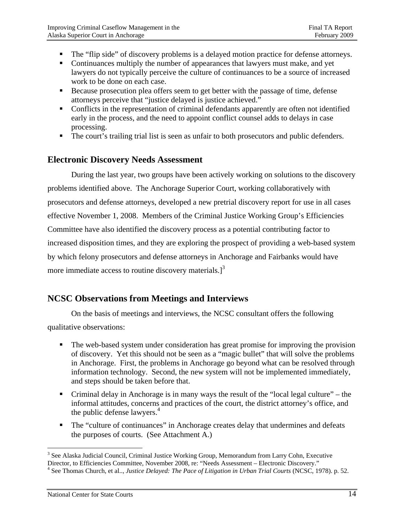- The "flip side" of discovery problems is a delayed motion practice for defense attorneys.
- Continuances multiply the number of appearances that lawyers must make, and yet lawyers do not typically perceive the culture of continuances to be a source of increased work to be done on each case.
- Because prosecution plea offers seem to get better with the passage of time, defense attorneys perceive that "justice delayed is justice achieved."
- Conflicts in the representation of criminal defendants apparently are often not identified early in the process, and the need to appoint conflict counsel adds to delays in case processing.
- The court's trailing trial list is seen as unfair to both prosecutors and public defenders.

#### **Electronic Discovery Needs Assessment**

During the last year, two groups have been actively working on solutions to the discovery problems identified above. The Anchorage Superior Court, working collaboratively with prosecutors and defense attorneys, developed a new pretrial discovery report for use in all cases effective November 1, 2008. Members of the Criminal Justice Working Group's Efficiencies Committee have also identified the discovery process as a potential contributing factor to increased disposition times, and they are exploring the prospect of providing a web-based system by which felony prosecutors and defense attorneys in Anchorage and Fairbanks would have more immediate access to routine discovery materials. $\int_0^3$ 

### **NCSC Observations from Meetings and Interviews**

On the basis of meetings and interviews, the NCSC consultant offers the following qualitative observations:

- The web-based system under consideration has great promise for improving the provision of discovery. Yet this should not be seen as a "magic bullet" that will solve the problems in Anchorage. First, the problems in Anchorage go beyond what can be resolved through information technology. Second, the new system will not be implemented immediately, and steps should be taken before that.
- Criminal delay in Anchorage is in many ways the result of the "local legal culture" the informal attitudes, concerns and practices of the court, the district attorney's office, and the public defense lawyers. $4$
- The "culture of continuances" in Anchorage creates delay that undermines and defeats the purposes of courts. (See Attachment A.)

 $\overline{a}$ <sup>3</sup> See Alaska Judicial Council, Criminal Justice Working Group, Memorandum from Larry Cohn, Executive Director, to Efficiencies Committee, November 2008, re: "Needs Assessment – Electronic Discovery." 4

<sup>&</sup>lt;sup>4</sup> See Thomas Church, et al.., *Justice Delayed: The Pace of Litigation in Urban Trial Courts* (NCSC, 1978). p. 52.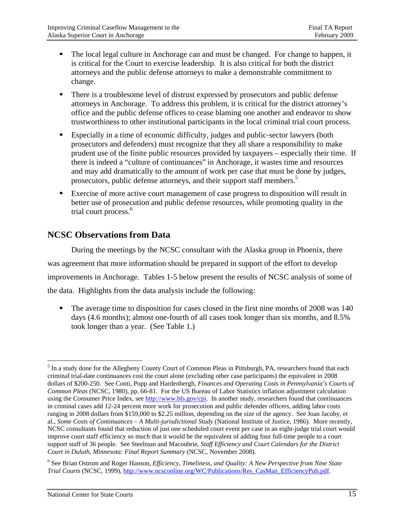- The local legal culture in Anchorage can and must be changed. For change to happen, it is critical for the Court to exercise leadership. It is also critical for both the district attorneys and the public defense attorneys to make a demonstrable commitment to change.
- **There is a troublesome level of distrust expressed by prosecutors and public defense** attorneys in Anchorage. To address this problem, it is critical for the district attorney's office and the public defense offices to cease blaming one another and endeavor to show trustworthiness to other institutional participants in the local criminal trial court process.
- Especially in a time of economic difficulty, judges and public-sector lawyers (both prosecutors and defenders) must recognize that they all share a responsibility to make prudent use of the finite public resources provided by taxpayers – especially their time. If there is indeed a "culture of continuances" in Anchorage, it wastes time and resources and may add dramatically to the amount of work per case that must be done by judges, prosecutors, public defense attorneys, and their support staff members.<sup>5</sup>
- Exercise of more active court management of case progress to disposition will result in better use of prosecution and public defense resources, while promoting quality in the trial court process.<sup>6</sup>

### **NCSC Observations from Data**

 During the meetings by the NCSC consultant with the Alaska group in Phoenix, there was agreement that more information should be prepared in support of the effort to develop improvements in Anchorage. Tables 1-5 below present the results of NCSC analysis of some of the data. Highlights from the data analysis include the following:

 The average time to disposition for cases closed in the first nine months of 2008 was 140 days (4.6 months); almost one-fourth of all cases took longer than six months, and 8.5% took longer than a year. (See Table 1.)

1

<sup>&</sup>lt;sup>5</sup> In a study done for the Allegheny County Court of Common Pleas in Pittsburgh, PA, researchers found that each criminal trial-date continuances cost the court alone (excluding other case participants) the equivalent in 2008 dollars of \$200-250. See Conti, Popp and Hardenbergh, *Finances and Operating Costs in Pennsylvania's Courts of Common Pleas* (NCSC, 1980), pp. 66-81. For the US Bureau of Labor Statistics inflation adjustment calculation using the Consumer Price Index, see http://www.bls.gov/cpi. In another study, researchers found that continuances in criminal cases add 12-24 percent more work for prosecution and public defender officers, adding labor costs ranging in 2008 dollars from \$159,000 to \$2.25 million, depending on the size of the agency. See Joan Jacoby, et al., *Some Costs of Continuances – A Multi-jurisdictional Study* (National Institute of Justice, 1986). More recently, NCSC consultants found that reduction of just one scheduled court event per case in an eight-judge trial court would improve court staff efficiency so much that it would be the equivalent of adding four full-time people to a court support staff of 36 people. See Steelman and Macoubrie, *Staff Efficiency and Court Calendars for the District Court in Duluth, Minnesota: Final Report Summary* (NCSC, November 2008).

<sup>6</sup> See Brian Ostrom and Roger Hanson, *Efficiency, Timeliness, and Quality: A New Perspective from Nine State Trial Courts* (NCSC, 1999), http://www.ncsconline.org/WC/Publications/Res\_CasMan\_EfficiencyPub.pdf.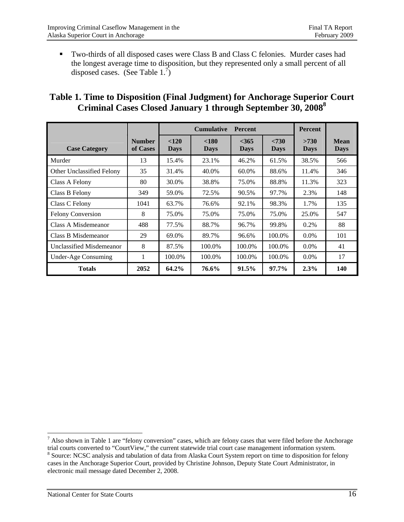Two-thirds of all disposed cases were Class B and Class C felonies. Murder cases had the longest average time to disposition, but they represented only a small percent of all disposed cases. (See Table  $1.\overline{7}$ )

### **Table 1. Time to Disposition (Final Judgment) for Anchorage Superior Court Criminal Cases Closed January 1 through September 30, 2008<sup>8</sup>**

|                           |                           | <b>Cumulative</b><br><b>Percent</b> |                      |                        |                      | <b>Percent</b>      |                     |
|---------------------------|---------------------------|-------------------------------------|----------------------|------------------------|----------------------|---------------------|---------------------|
| <b>Case Category</b>      | <b>Number</b><br>of Cases | < 120<br><b>Days</b>                | < 180<br><b>Days</b> | $<$ 365<br><b>Days</b> | < 730<br><b>Days</b> | >730<br><b>Days</b> | Mean<br><b>Days</b> |
| Murder                    | 13                        | 15.4%                               | 23.1%                | 46.2%                  | 61.5%                | 38.5%               | 566                 |
| Other Unclassified Felony | 35                        | 31.4%                               | 40.0%                | 60.0%                  | 88.6%                | 11.4%               | 346                 |
| Class A Felony            | 80                        | 30.0%                               | 38.8%                | 75.0%                  | 88.8%                | 11.3%               | 323                 |
| Class B Felony            | 349                       | 59.0%                               | 72.5%                | 90.5%                  | 97.7%                | 2.3%                | 148                 |
| Class C Felony            | 1041                      | 63.7%                               | 76.6%                | 92.1%                  | 98.3%                | 1.7%                | 135                 |
| <b>Felony Conversion</b>  | 8                         | 75.0%                               | 75.0%                | 75.0%                  | 75.0%                | 25.0%               | 547                 |
| Class A Misdemeanor       | 488                       | 77.5%                               | 88.7%                | 96.7%                  | 99.8%                | $0.2\%$             | 88                  |
| Class B Misdemeanor       | 29                        | 69.0%                               | 89.7%                | 96.6%                  | 100.0%               | $0.0\%$             | 101                 |
| Unclassified Misdemeanor  | 8                         | 87.5%                               | 100.0%               | 100.0%                 | 100.0%               | $0.0\%$             | 41                  |
| Under-Age Consuming       | 1                         | 100.0%                              | 100.0%               | 100.0%                 | 100.0%               | $0.0\%$             | 17                  |
| <b>Totals</b>             | 2052                      | 64.2%                               | 76.6%                | $91.5\%$               | 97.7%                | 2.3%                | 140                 |

 $<sup>7</sup>$  Also shown in Table 1 are "felony conversion" cases, which are felony cases that were filed before the Anchorage</sup> trial courts converted to "CourtView," the current statewide trial court case management information system. 8 <sup>8</sup> Source: NCSC analysis and tabulation of data from Alaska Court System report on time to disposition for felony cases in the Anchorage Superior Court, provided by Christine Johnson, Deputy State Court Administrator, in

electronic mail message dated December 2, 2008.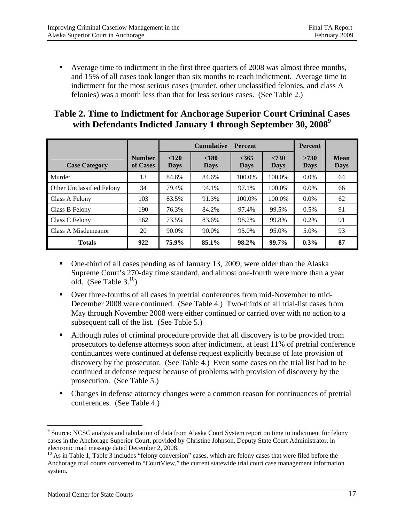Average time to indictment in the first three quarters of 2008 was almost three months, and 15% of all cases took longer than six months to reach indictment. Average time to indictment for the most serious cases (murder, other unclassified felonies, and class A felonies) was a month less than that for less serious cases. (See Table 2.)

### **Table 2. Time to Indictment for Anchorage Superior Court Criminal Cases with Defendants Indicted January 1 through September 30, 2008<sup>9</sup>**

|                           |                           |                      | <b>Cumulative</b>    | <b>Percent</b>         |                      | <b>Percent</b>      |                            |
|---------------------------|---------------------------|----------------------|----------------------|------------------------|----------------------|---------------------|----------------------------|
| <b>Case Category</b>      | <b>Number</b><br>of Cases | < 120<br><b>Days</b> | < 180<br><b>Days</b> | $<$ 365<br><b>Days</b> | < 730<br><b>Days</b> | >730<br><b>Days</b> | <b>Mean</b><br><b>Days</b> |
| Murder                    | 13                        | 84.6%                | 84.6%                | 100.0%                 | 100.0%               | $0.0\%$             | 64                         |
| Other Unclassified Felony | 34                        | 79.4%                | 94.1%                | 97.1%                  | 100.0%               | $0.0\%$             | 66                         |
| Class A Felony            | 103                       | 83.5%                | 91.3%                | 100.0%                 | 100.0%               | $0.0\%$             | 62                         |
| Class B Felony            | 190                       | 76.3%                | 84.2%                | 97.4%                  | 99.5%                | $0.5\%$             | 91                         |
| Class C Felony            | 562                       | 73.5%                | 83.6%                | 98.2%                  | 99.8%                | 0.2%                | 91                         |
| Class A Misdemeanor       | 20                        | 90.0%                | 90.0%                | 95.0%                  | 95.0%                | 5.0%                | 93                         |
| <b>Totals</b>             | 922                       | 75.9%                | 85.1%                | 98.2%                  | 99.7%                | $0.3\%$             | 87                         |

- One-third of all cases pending as of January 13, 2009, were older than the Alaska Supreme Court's 270-day time standard, and almost one-fourth were more than a year old. (See Table  $3^{10}$ )
- Over three-fourths of all cases in pretrial conferences from mid-November to mid-December 2008 were continued. (See Table 4.) Two-thirds of all trial-list cases from May through November 2008 were either continued or carried over with no action to a subsequent call of the list. (See Table 5.)
- Although rules of criminal procedure provide that all discovery is to be provided from prosecutors to defense attorneys soon after indictment, at least 11% of pretrial conference continuances were continued at defense request explicitly because of late provision of discovery by the prosecutor. (See Table 4.) Even some cases on the trial list had to be continued at defense request because of problems with provision of discovery by the prosecution. (See Table 5.)
- Changes in defense attorney changes were a common reason for continuances of pretrial conferences. (See Table 4.)

1

<sup>&</sup>lt;sup>9</sup> Source: NCSC analysis and tabulation of data from Alaska Court System report on time to indictment for felony cases in the Anchorage Superior Court, provided by Christine Johnson, Deputy State Court Administrator, in electronic mail message dated December 2, 2008.

<sup>&</sup>lt;sup>10</sup> As in Table 1, Table 3 includes "felony conversion" cases, which are felony cases that were filed before the Anchorage trial courts converted to "CourtView," the current statewide trial court case management information system.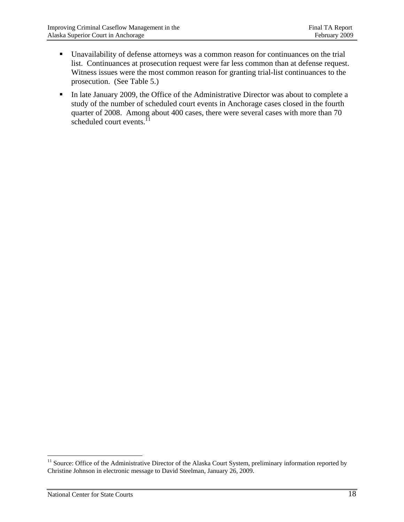- Unavailability of defense attorneys was a common reason for continuances on the trial list. Continuances at prosecution request were far less common than at defense request. Witness issues were the most common reason for granting trial-list continuances to the prosecution. (See Table 5.)
- In late January 2009, the Office of the Administrative Director was about to complete a study of the number of scheduled court events in Anchorage cases closed in the fourth quarter of 2008. Among about 400 cases, there were several cases with more than 70 scheduled court events. $^{11}$

<sup>&</sup>lt;sup>11</sup> Source: Office of the Administrative Director of the Alaska Court System, preliminary information reported by Christine Johnson in electronic message to David Steelman, January 26, 2009.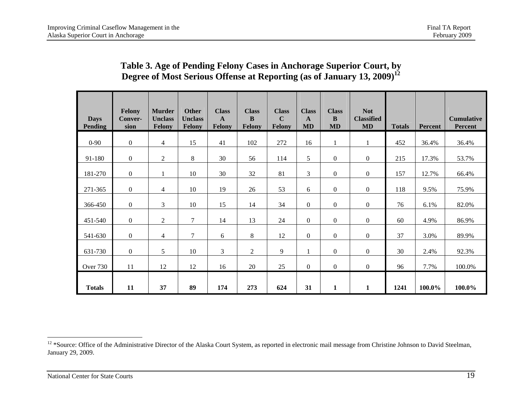### **Table 3. Age of Pending Felony Cases in Anchorage Superior Court, by Degree of Most Serious Offense at Reporting (as of January 13, 2009)<sup>12</sup>**

| <b>Days</b><br><b>Pending</b> | Felony<br>Conver-<br>sion | <b>Murder</b><br><b>Unclass</b><br>Felony | <b>Other</b><br><b>Unclass</b><br><b>Felony</b> | <b>Class</b><br>$\mathbf{A}$<br><b>Felony</b> | <b>Class</b><br>B<br><b>Felony</b> | <b>Class</b><br>$\mathbf C$<br>Felony | <b>Class</b><br>A<br><b>MD</b> | <b>Class</b><br>B<br><b>MD</b> | <b>Not</b><br><b>Classified</b><br><b>MD</b> | <b>Totals</b> | Percent | <b>Cumulative</b><br>Percent |
|-------------------------------|---------------------------|-------------------------------------------|-------------------------------------------------|-----------------------------------------------|------------------------------------|---------------------------------------|--------------------------------|--------------------------------|----------------------------------------------|---------------|---------|------------------------------|
| $0 - 90$                      | $\mathbf{0}$              | 4                                         | 15                                              | 41                                            | 102                                | 272                                   | 16                             |                                | $\mathbf{1}$                                 | 452           | 36.4%   | 36.4%                        |
| 91-180                        | $\mathbf{0}$              | $\mathfrak{2}$                            | 8                                               | 30                                            | 56                                 | 114                                   | 5                              | $\boldsymbol{0}$               | $\overline{0}$                               | 215           | 17.3%   | 53.7%                        |
| 181-270                       | $\overline{0}$            |                                           | 10                                              | 30                                            | 32                                 | 81                                    | 3                              | $\overline{0}$                 | $\overline{0}$                               | 157           | 12.7%   | 66.4%                        |
| 271-365                       | $\mathbf{0}$              | 4                                         | 10                                              | 19                                            | 26                                 | 53                                    | 6                              | $\boldsymbol{0}$               | $\boldsymbol{0}$                             | 118           | 9.5%    | 75.9%                        |
| 366-450                       | $\mathbf{0}$              | 3                                         | 10                                              | 15                                            | 14                                 | 34                                    | $\boldsymbol{0}$               | $\boldsymbol{0}$               | $\boldsymbol{0}$                             | 76            | 6.1%    | 82.0%                        |
| 451-540                       | $\mathbf{0}$              | $\overline{2}$                            | $\overline{7}$                                  | 14                                            | 13                                 | 24                                    | $\boldsymbol{0}$               | $\boldsymbol{0}$               | $\boldsymbol{0}$                             | 60            | 4.9%    | 86.9%                        |
| 541-630                       | $\overline{0}$            | $\overline{4}$                            | 7                                               | 6                                             | 8                                  | 12                                    | $\boldsymbol{0}$               | $\overline{0}$                 | $\overline{0}$                               | 37            | 3.0%    | 89.9%                        |
| 631-730                       | $\mathbf{0}$              | 5                                         | 10                                              | $\mathfrak{Z}$                                | $\boldsymbol{2}$                   | 9                                     | 1                              | $\overline{0}$                 | $\overline{0}$                               | 30            | 2.4%    | 92.3%                        |
| Over 730                      | 11                        | 12                                        | 12                                              | 16                                            | 20                                 | 25                                    | $\boldsymbol{0}$               | $\overline{0}$                 | $\overline{0}$                               | 96            | 7.7%    | 100.0%                       |
| <b>Totals</b>                 | 11                        | 37                                        | 89                                              | 174                                           | 273                                | 624                                   | 31                             | $\mathbf{1}$                   | $\mathbf{1}$                                 | 1241          | 100.0%  | 100.0%                       |

<sup>&</sup>lt;sup>12</sup> \*Source: Office of the Administrative Director of the Alaska Court System, as reported in electronic mail message from Christine Johnson to David Steelman, January 29, 2009.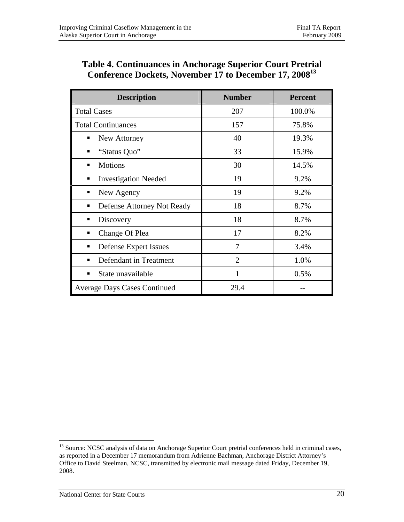### **Table 4. Continuances in Anchorage Superior Court Pretrial Conference Dockets, November 17 to December 17, 200813**

| <b>Description</b>                  | <b>Number</b>  | <b>Percent</b> |
|-------------------------------------|----------------|----------------|
| <b>Total Cases</b>                  | 207            | 100.0%         |
| <b>Total Continuances</b>           | 157            | 75.8%          |
| New Attorney<br>▪                   | 40             | 19.3%          |
| "Status Quo"                        | 33             | 15.9%          |
| <b>Motions</b>                      | 30             | 14.5%          |
| <b>Investigation Needed</b>         | 19             | 9.2%           |
| New Agency                          | 19             | 9.2%           |
| Defense Attorney Not Ready<br>▪     | 18             | 8.7%           |
| Discovery                           | 18             | 8.7%           |
| Change Of Plea<br>▪                 | 17             | 8.2%           |
| <b>Defense Expert Issues</b>        | 7              | 3.4%           |
| Defendant in Treatment<br>▪         | $\overline{2}$ | 1.0%           |
| State unavailable                   | 1              | 0.5%           |
| <b>Average Days Cases Continued</b> | 29.4           |                |

<sup>&</sup>lt;sup>13</sup> Source: NCSC analysis of data on Anchorage Superior Court pretrial conferences held in criminal cases, as reported in a December 17 memorandum from Adrienne Bachman, Anchorage District Attorney's Office to David Steelman, NCSC, transmitted by electronic mail message dated Friday, December 19, 2008.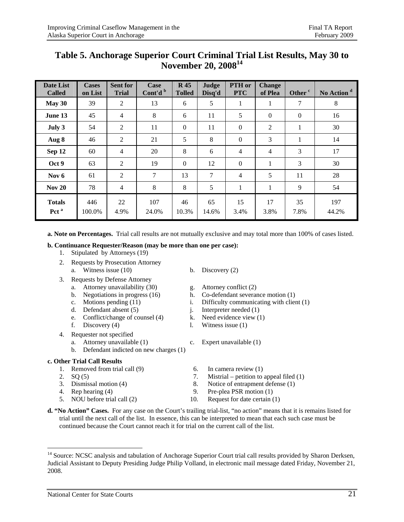| <b>Date List</b><br><b>Called</b> | <b>Cases</b><br>on List | <b>Sent for</b><br><b>Trial</b> | Case<br>Cont'd <sup>b</sup> | <b>R</b> 45<br><b>Tolled</b> | Judge<br>Disq'd | PTH or<br><b>PTC</b> | <b>Change</b><br>of Plea | Other <sup>c</sup> | No Action <sup>d</sup> |
|-----------------------------------|-------------------------|---------------------------------|-----------------------------|------------------------------|-----------------|----------------------|--------------------------|--------------------|------------------------|
| May 30                            | 39                      | $\overline{2}$                  | 13                          | 6                            | 5               | 1                    | $\mathbf{I}$             | 7                  | 8                      |
| June 13                           | 45                      | $\overline{4}$                  | 8                           | 6                            | 11              | 5                    | $\theta$                 | $\boldsymbol{0}$   | 16                     |
| July 3                            | 54                      | $\mathfrak{2}$                  | 11                          | $\Omega$                     | 11              | $\boldsymbol{0}$     | $\overline{2}$           | $\mathbf{1}$       | 30                     |
| Aug 8                             | 46                      | $\overline{2}$                  | 21                          | 5                            | 8               | $\boldsymbol{0}$     | 3                        | 1                  | 14                     |
| Sep 12                            | 60                      | $\overline{4}$                  | 20                          | 8                            | 6               | $\overline{4}$       | 4                        | $\overline{3}$     | 17                     |
| Oct 9                             | 63                      | $\overline{2}$                  | 19                          | $\Omega$                     | 12              | $\boldsymbol{0}$     | 1                        | 3                  | 30                     |
| Nov $6$                           | 61                      | $\overline{2}$                  | 7                           | 13                           | 7               | $\overline{4}$       | 5                        | 11                 | 28                     |
| Nov <sub>20</sub>                 | 78                      | $\overline{4}$                  | 8                           | 8                            | 5               | 1                    | 1                        | 9                  | 54                     |
| <b>Totals</b><br>Pct <sup>a</sup> | 446<br>100.0%           | 22<br>4.9%                      | 107<br>24.0%                | 46<br>10.3%                  | 65<br>14.6%     | 15<br>3.4%           | 17<br>3.8%               | 35<br>7.8%         | 197<br>44.2%           |

### **Table 5. Anchorage Superior Court Criminal Trial List Results, May 30 to November 20, 2008<sup>14</sup>**

**a. Note on Percentages.** Trial call results are not mutually exclusive and may total more than 100% of cases listed.

#### **b. Continuance Requester/Reason (may be more than one per case):**

- 1. Stipulated by Attorneys (19)
- 2. Requests by Prosecution Attorney a. Witness issue  $(10)$  b. Discovery  $(2)$
- 3. Requests by Defense Attorney
	- a. Attorney unavailability  $(30)$  g. Attorney conflict  $(2)$ 
		-
		-
		-
		- e. Conflict/change of counsel (4) k. Need evidence view (1)
		- f. Discovery  $(4)$  l. Witness issue  $(1)$
- 4. Requester not specified
	- a. Attorney unavailable (1) c. Expert unavailable (1)
	- b. Defendant indicted on new charges (1)

#### **c. Other Trial Call Results**

- 1. Removed from trial call (9) 6. In camera review (1)
- 

- 
- 
- 
- 
- 
- b. Negotiations in progress (16) h. Co-defendant severance motion (1)
- c. Motions pending (11) i. Difficulty communicating with client (1) d. Defendant absent (5) i. Interpreter needed (1)
	- j. Interpreter needed  $(1)$
	-
	-
	- -
- 2.  $SQ(5)$  7. Mistrial petition to appeal filed (1)
- 3. Dismissal motion (4) 8. Notice of entrapment defense (1)
- 4. Rep hearing (4) 9. Pre-plea PSR motion (1)
- 5. NOU before trial call (2) 10. Request for date certain (1)
- **d. "No Action" Cases.** For any case on the Court's trailing trial-list, "no action" means that it is remains listed for trial until the next call of the list. In essence, this can be interpreted to mean that each such case must be continued because the Court cannot reach it for trial on the current call of the list.

<sup>&</sup>lt;sup>14</sup> Source: NCSC analysis and tabulation of Anchorage Superior Court trial call results provided by Sharon Derksen, Judicial Assistant to Deputy Presiding Judge Philip Volland, in electronic mail message dated Friday, November 21, 2008.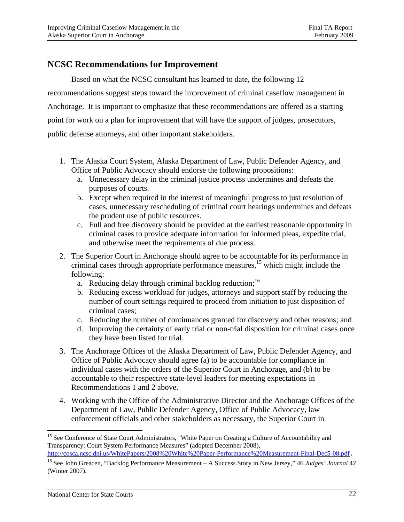### **NCSC Recommendations for Improvement**

 Based on what the NCSC consultant has learned to date, the following 12 recommendations suggest steps toward the improvement of criminal caseflow management in Anchorage. It is important to emphasize that these recommendations are offered as a starting point for work on a plan for improvement that will have the support of judges, prosecutors, public defense attorneys, and other important stakeholders.

- 1. The Alaska Court System, Alaska Department of Law, Public Defender Agency, and Office of Public Advocacy should endorse the following propositions:
	- a. Unnecessary delay in the criminal justice process undermines and defeats the purposes of courts.
	- b. Except when required in the interest of meaningful progress to just resolution of cases, unnecessary rescheduling of criminal court hearings undermines and defeats the prudent use of public resources.
	- c. Full and free discovery should be provided at the earliest reasonable opportunity in criminal cases to provide adequate information for informed pleas, expedite trial, and otherwise meet the requirements of due process.
- 2. The Superior Court in Anchorage should agree to be accountable for its performance in criminal cases through appropriate performance measures,<sup>15</sup> which might include the following:
	- a. Reducing delay through criminal backlog reduction:<sup>16</sup>
	- b. Reducing excess workload for judges, attorneys and support staff by reducing the number of court settings required to proceed from initiation to just disposition of criminal cases;
	- c. Reducing the number of continuances granted for discovery and other reasons; and
	- d. Improving the certainty of early trial or non-trial disposition for criminal cases once they have been listed for trial.
- 3. The Anchorage Offices of the Alaska Department of Law, Public Defender Agency, and Office of Public Advocacy should agree (a) to be accountable for compliance in individual cases with the orders of the Superior Court in Anchorage, and (b) to be accountable to their respective state-level leaders for meeting expectations in Recommendations 1 and 2 above.
- 4. Working with the Office of the Administrative Director and the Anchorage Offices of the Department of Law, Public Defender Agency, Office of Public Advocacy, law enforcement officials and other stakeholders as necessary, the Superior Court in

 $\overline{a}$ <sup>15</sup> See Conference of State Court Administrators, "White Paper on Creating a Culture of Accountability and Transparency: Court System Performance Measures" (adopted December 2008), http://cosca.ncsc.dni.us/WhitePapers/2008%20White%20Paper-Performance%20Measurement-Final-Dec5-08.pdf.

<sup>16</sup> See John Greacen, "Backlog Performance Measurement – A Success Story in New Jersey," 46 *Judges' Journal* 42 (Winter 2007).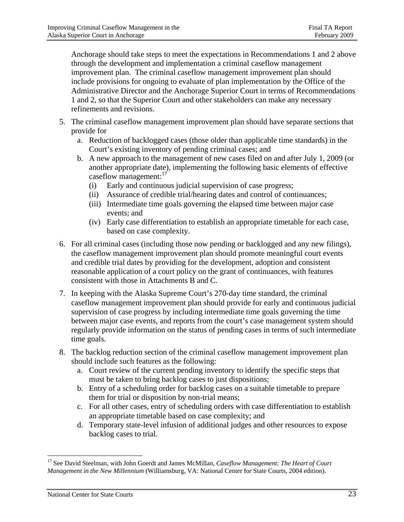Anchorage should take steps to meet the expectations in Recommendations 1 and 2 above through the development and implementation a criminal caseflow management improvement plan. The criminal caseflow management improvement plan should include provisions for ongoing to evaluate of plan implementation by the Office of the Administrative Director and the Anchorage Superior Court in terms of Recommendations 1 and 2, so that the Superior Court and other stakeholders can make any necessary refinements and revisions.

- 5. The criminal caseflow management improvement plan should have separate sections that provide for
	- a. Reduction of backlogged cases (those older than applicable time standards) in the Court's existing inventory of pending criminal cases; and
	- b. A new approach to the management of new cases filed on and after July 1, 2009 (or another appropriate date), implementing the following basic elements of effective caseflow management: $17$ 
		- (i) Early and continuous judicial supervision of case progress;
		- (ii) Assurance of credible trial/hearing dates and control of continuances;
		- (iii) Intermediate time goals governing the elapsed time between major case events; and
		- (iv) Early case differentiation to establish an appropriate timetable for each case, based on case complexity.
- 6. For all criminal cases (including those now pending or backlogged and any new filings), the caseflow management improvement plan should promote meaningful court events and credible trial dates by providing for the development, adoption and consistent reasonable application of a court policy on the grant of continuances, with features consistent with those in Attachments B and C.
- 7. In keeping with the Alaska Supreme Court's 270-day time standard, the criminal caseflow management improvement plan should provide for early and continuous judicial supervision of case progress by including intermediate time goals governing the time between major case events, and reports from the court's case management system should regularly provide information on the status of pending cases in terms of such intermediate time goals.
- 8. The backlog reduction section of the criminal caseflow management improvement plan should include such features as the following:
	- a. Court review of the current pending inventory to identify the specific steps that must be taken to bring backlog cases to just dispositions;
	- b. Entry of a scheduling order for backlog cases on a suitable timetable to prepare them for trial or disposition by non-trial means;
	- c. For all other cases, entry of scheduling orders with case differentiation to establish an appropriate timetable based on case complexity; and
	- d. Temporary state-level infusion of additional judges and other resources to expose backlog cases to trial.

<sup>&</sup>lt;sup>17</sup> See David Steelman, with John Goerdt and James McMillan, *Caseflow Management: The Heart of Court Management in the New Millennium* (Williamsburg, VA: National Center for State Courts, 2004 edition).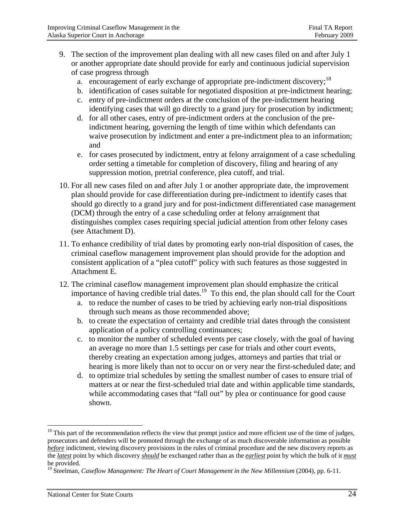- 9. The section of the improvement plan dealing with all new cases filed on and after July 1 or another appropriate date should provide for early and continuous judicial supervision of case progress through
	- a. encouragement of early exchange of appropriate pre-indictment discovery;  $^{18}$
	- b. identification of cases suitable for negotiated disposition at pre-indictment hearing;
	- c. entry of pre-indictment orders at the conclusion of the pre-indictment hearing identifying cases that will go directly to a grand jury for prosecution by indictment;
	- d. for all other cases, entry of pre-indictment orders at the conclusion of the preindictment hearing, governing the length of time within which defendants can waive prosecution by indictment and enter a pre-indictment plea to an information; and
	- e. for cases prosecuted by indictment, entry at felony arraignment of a case scheduling order setting a timetable for completion of discovery, filing and hearing of any suppression motion, pretrial conference, plea cutoff, and trial.
- 10. For all new cases filed on and after July 1 or another appropriate date, the improvement plan should provide for case differentiation during pre-indictment to identify cases that should go directly to a grand jury and for post-indictment differentiated case management (DCM) through the entry of a case scheduling order at felony arraignment that distinguishes complex cases requiring special judicial attention from other felony cases (see Attachment D).
- 11. To enhance credibility of trial dates by promoting early non-trial disposition of cases, the criminal caseflow management improvement plan should provide for the adoption and consistent application of a "plea cutoff" policy with such features as those suggested in Attachment E.
- 12. The criminal caseflow management improvement plan should emphasize the critical importance of having credible trial dates.<sup>19</sup> To this end, the plan should call for the Court
	- a. to reduce the number of cases to be tried by achieving early non-trial dispositions through such means as those recommended above;
	- b. to create the expectation of certainty and credible trial dates through the consistent application of a policy controlling continuances;
	- c. to monitor the number of scheduled events per case closely, with the goal of having an average no more than 1.5 settings per case for trials and other court events, thereby creating an expectation among judges, attorneys and parties that trial or hearing is more likely than not to occur on or very near the first-scheduled date; and
	- d. to optimize trial schedules by setting the smallest number of cases to ensure trial of matters at or near the first-scheduled trial date and within applicable time standards, while accommodating cases that "fall out" by plea or continuance for good cause shown.

 $18$  This part of the recommendation reflects the view that prompt justice and more efficient use of the time of judges, prosecutors and defenders will be promoted through the exchange of as much discoverable information as possible *before* indictment, viewing discovery provisions in the rules of criminal procedure and the new discovery reports as the *latest* point by which discovery *should* be exchanged rather than as the *earliest* point by which the bulk of it *must* be provided.

<sup>&</sup>lt;sup>19</sup> Steelman, *Caseflow Management: The Heart of Court Management in the New Millennium* (2004), pp. 6-11.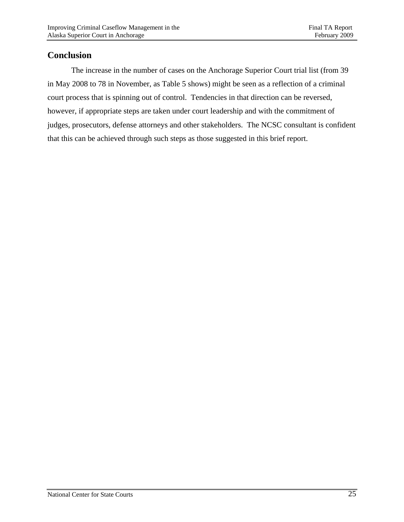### **Conclusion**

 The increase in the number of cases on the Anchorage Superior Court trial list (from 39 in May 2008 to 78 in November, as Table 5 shows) might be seen as a reflection of a criminal court process that is spinning out of control. Tendencies in that direction can be reversed, however, if appropriate steps are taken under court leadership and with the commitment of judges, prosecutors, defense attorneys and other stakeholders. The NCSC consultant is confident that this can be achieved through such steps as those suggested in this brief report.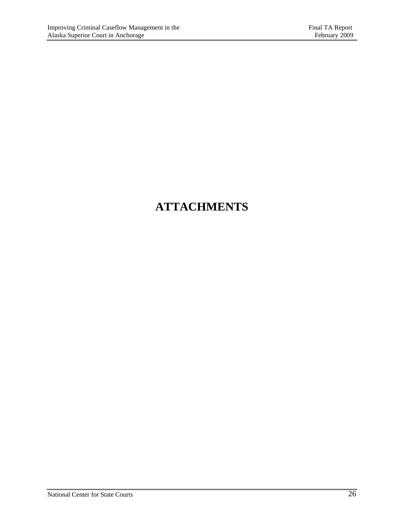## **ATTACHMENTS**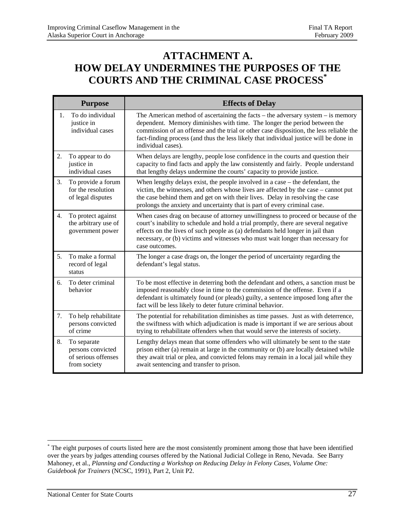## **ATTACHMENT A. HOW DELAY UNDERMINES THE PURPOSES OF THE COURTS AND THE CRIMINAL CASE PROCESS\***

|    | <b>Purpose</b>                                                          | <b>Effects of Delay</b>                                                                                                                                                                                                                                                                                                                                                      |
|----|-------------------------------------------------------------------------|------------------------------------------------------------------------------------------------------------------------------------------------------------------------------------------------------------------------------------------------------------------------------------------------------------------------------------------------------------------------------|
| 1. | To do individual<br>justice in<br>individual cases                      | The American method of ascertaining the facts $-$ the adversary system $-$ is memory<br>dependent. Memory diminishes with time. The longer the period between the<br>commission of an offense and the trial or other case disposition, the less reliable the<br>fact-finding process (and thus the less likely that individual justice will be done in<br>individual cases). |
| 2. | To appear to do<br>justice in<br>individual cases                       | When delays are lengthy, people lose confidence in the courts and question their<br>capacity to find facts and apply the law consistently and fairly. People understand<br>that lengthy delays undermine the courts' capacity to provide justice.                                                                                                                            |
| 3. | To provide a forum<br>for the resolution<br>of legal disputes           | When lengthy delays exist, the people involved in a case – the defendant, the<br>victim, the witnesses, and others whose lives are affected by the case – cannot put<br>the case behind them and get on with their lives. Delay in resolving the case<br>prolongs the anxiety and uncertainty that is part of every criminal case.                                           |
| 4. | To protect against<br>the arbitrary use of<br>government power          | When cases drag on because of attorney unwillingness to proceed or because of the<br>court's inability to schedule and hold a trial promptly, there are several negative<br>effects on the lives of such people as (a) defendants held longer in jail than<br>necessary, or (b) victims and witnesses who must wait longer than necessary for<br>case outcomes.              |
| 5. | To make a formal<br>record of legal<br>status                           | The longer a case drags on, the longer the period of uncertainty regarding the<br>defendant's legal status.                                                                                                                                                                                                                                                                  |
| 6. | To deter criminal<br>behavior                                           | To be most effective in deterring both the defendant and others, a sanction must be<br>imposed reasonably close in time to the commission of the offense. Even if a<br>defendant is ultimately found (or pleads) guilty, a sentence imposed long after the<br>fact will be less likely to deter future criminal behavior.                                                    |
| 7. | To help rehabilitate<br>persons convicted<br>of crime                   | The potential for rehabilitation diminishes as time passes. Just as with deterrence,<br>the swiftness with which adjudication is made is important if we are serious about<br>trying to rehabilitate offenders when that would serve the interests of society.                                                                                                               |
| 8. | To separate<br>persons convicted<br>of serious offenses<br>from society | Lengthy delays mean that some offenders who will ultimately be sent to the state<br>prison either (a) remain at large in the community or (b) are locally detained while<br>they await trial or plea, and convicted felons may remain in a local jail while they<br>await sentencing and transfer to prison.                                                                 |

<sup>\*</sup> The eight purposes of courts listed here are the most consistently prominent among those that have been identified over the years by judges attending courses offered by the National Judicial College in Reno, Nevada. See Barry Mahoney, et al., *Planning and Conducting a Workshop on Reducing Delay in Felony Cases, Volume One: Guidebook for Trainers* (NCSC, 1991), Part 2, Unit P2.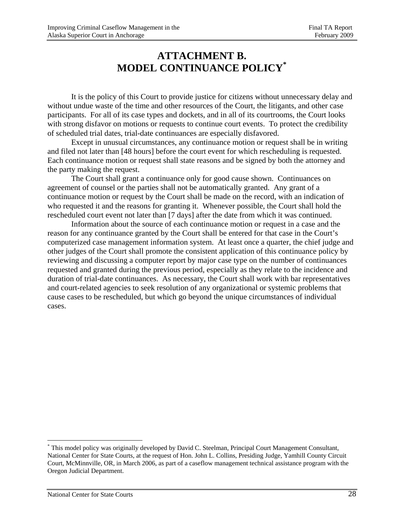## **ATTACHMENT B. MODEL CONTINUANCE POLICY\***

 It is the policy of this Court to provide justice for citizens without unnecessary delay and without undue waste of the time and other resources of the Court, the litigants, and other case participants. For all of its case types and dockets, and in all of its courtrooms, the Court looks with strong disfavor on motions or requests to continue court events. To protect the credibility of scheduled trial dates, trial-date continuances are especially disfavored.

 Except in unusual circumstances, any continuance motion or request shall be in writing and filed not later than [48 hours] before the court event for which rescheduling is requested. Each continuance motion or request shall state reasons and be signed by both the attorney and the party making the request.

 The Court shall grant a continuance only for good cause shown. Continuances on agreement of counsel or the parties shall not be automatically granted. Any grant of a continuance motion or request by the Court shall be made on the record, with an indication of who requested it and the reasons for granting it. Whenever possible, the Court shall hold the rescheduled court event not later than [7 days] after the date from which it was continued.

 Information about the source of each continuance motion or request in a case and the reason for any continuance granted by the Court shall be entered for that case in the Court's computerized case management information system. At least once a quarter, the chief judge and other judges of the Court shall promote the consistent application of this continuance policy by reviewing and discussing a computer report by major case type on the number of continuances requested and granted during the previous period, especially as they relate to the incidence and duration of trial-date continuances. As necessary, the Court shall work with bar representatives and court-related agencies to seek resolution of any organizational or systemic problems that cause cases to be rescheduled, but which go beyond the unique circumstances of individual cases.

<sup>\*</sup> This model policy was originally developed by David C. Steelman, Principal Court Management Consultant, National Center for State Courts, at the request of Hon. John L. Collins, Presiding Judge, Yamhill County Circuit Court, McMinnville, OR, in March 2006, as part of a caseflow management technical assistance program with the Oregon Judicial Department.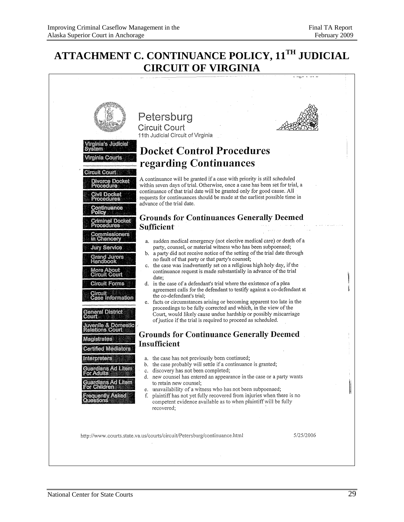## **ATTACHMENT C. CONTINUANCE POLICY, 11TH JUDICIAL CIRCUIT OF VIRGINIA**

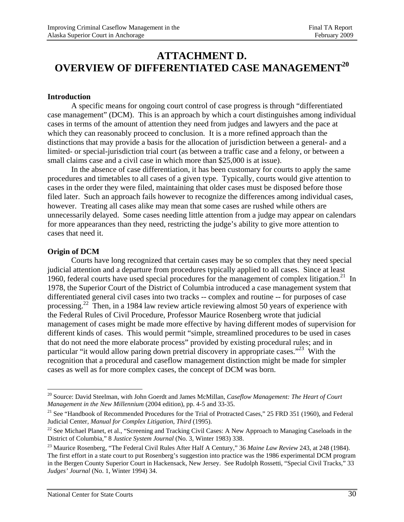### **ATTACHMENT D. OVERVIEW OF DIFFERENTIATED CASE MANAGEMENT20**

#### **Introduction**

A specific means for ongoing court control of case progress is through "differentiated case management" (DCM). This is an approach by which a court distinguishes among individual cases in terms of the amount of attention they need from judges and lawyers and the pace at which they can reasonably proceed to conclusion. It is a more refined approach than the distinctions that may provide a basis for the allocation of jurisdiction between a general- and a limited- or special-jurisdiction trial court (as between a traffic case and a felony, or between a small claims case and a civil case in which more than \$25,000 is at issue).

 In the absence of case differentiation, it has been customary for courts to apply the same procedures and timetables to all cases of a given type. Typically, courts would give attention to cases in the order they were filed, maintaining that older cases must be disposed before those filed later. Such an approach fails however to recognize the differences among individual cases, however. Treating all cases alike may mean that some cases are rushed while others are unnecessarily delayed. Some cases needing little attention from a judge may appear on calendars for more appearances than they need, restricting the judge's ability to give more attention to cases that need it.

#### **Origin of DCM**

 $\overline{a}$ 

Courts have long recognized that certain cases may be so complex that they need special judicial attention and a departure from procedures typically applied to all cases. Since at least 1960, federal courts have used special procedures for the management of complex litigation.<sup>21</sup> In 1978, the Superior Court of the District of Columbia introduced a case management system that differentiated general civil cases into two tracks -- complex and routine -- for purposes of case processing.22 Then, in a 1984 law review article reviewing almost 50 years of experience with the Federal Rules of Civil Procedure, Professor Maurice Rosenberg wrote that judicial management of cases might be made more effective by having different modes of supervision for different kinds of cases. This would permit "simple, streamlined procedures to be used in cases that do not need the more elaborate process" provided by existing procedural rules; and in particular "it would allow paring down pretrial discovery in appropriate cases."<sup>23</sup> With the recognition that a procedural and caseflow management distinction might be made for simpler cases as well as for more complex cases, the concept of DCM was born.

<sup>20</sup> Source: David Steelman, with John Goerdt and James McMillan, *Caseflow Management: The Heart of Court Management in the New Millennium* (2004 edition), pp. 4-5 and 33-35.

<sup>&</sup>lt;sup>21</sup> See "Handbook of Recommended Procedures for the Trial of Protracted Cases," 25 FRD 351 (1960), and Federal Judicial Center, *Manual for Complex Litigation, Third* (1995).

<sup>&</sup>lt;sup>22</sup> See Michael Planet, et al., "Screening and Tracking Civil Cases: A New Approach to Managing Caseloads in the District of Columbia," 8 *Justice System Journal* (No. 3, Winter 1983) 338. 23 Maurice Rosenberg, "The Federal Civil Rules After Half A Century," 36 *Maine Law Review* 243, at 248 (1984).

The first effort in a state court to put Rosenberg's suggestion into practice was the 1986 experimental DCM program in the Bergen County Superior Court in Hackensack, New Jersey. See Rudolph Rossetti, "Special Civil Tracks," 33 *Judges' Journal* (No. 1, Winter 1994) 34.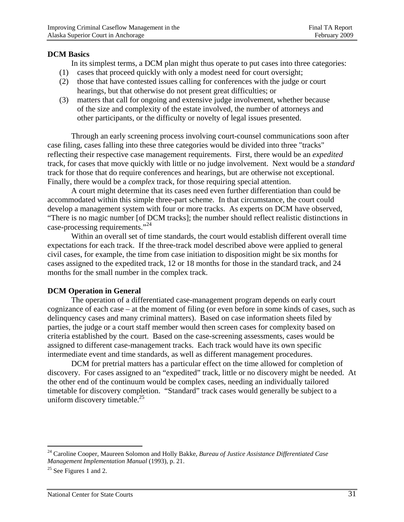#### **DCM Basics**

In its simplest terms, a DCM plan might thus operate to put cases into three categories:

- (1) cases that proceed quickly with only a modest need for court oversight;
- (2) those that have contested issues calling for conferences with the judge or court hearings, but that otherwise do not present great difficulties; or
- (3) matters that call for ongoing and extensive judge involvement, whether because of the size and complexity of the estate involved, the number of attorneys and other participants, or the difficulty or novelty of legal issues presented.

Through an early screening process involving court-counsel communications soon after case filing, cases falling into these three categories would be divided into three "tracks" reflecting their respective case management requirements. First, there would be an *expedited*  track, for cases that move quickly with little or no judge involvement. Next would be a *standard*  track for those that do require conferences and hearings, but are otherwise not exceptional. Finally, there would be a *complex* track, for those requiring special attention.

A court might determine that its cases need even further differentiation than could be accommodated within this simple three-part scheme. In that circumstance, the court could develop a management system with four or more tracks. As experts on DCM have observed, "There is no magic number [of DCM tracks]; the number should reflect realistic distinctions in case-processing requirements."<sup>24</sup>

Within an overall set of time standards, the court would establish different overall time expectations for each track. If the three-track model described above were applied to general civil cases, for example, the time from case initiation to disposition might be six months for cases assigned to the expedited track, 12 or 18 months for those in the standard track, and 24 months for the small number in the complex track.

#### **DCM Operation in General**

 The operation of a differentiated case-management program depends on early court cognizance of each case – at the moment of filing (or even before in some kinds of cases, such as delinquency cases and many criminal matters). Based on case information sheets filed by parties, the judge or a court staff member would then screen cases for complexity based on criteria established by the court. Based on the case-screening assessments, cases would be assigned to different case-management tracks. Each track would have its own specific intermediate event and time standards, as well as different management procedures.

DCM for pretrial matters has a particular effect on the time allowed for completion of discovery. For cases assigned to an "expedited" track, little or no discovery might be needed. At the other end of the continuum would be complex cases, needing an individually tailored timetable for discovery completion. "Standard" track cases would generally be subject to a uniform discovery timetable. $^{25}$ 

1

<sup>24</sup> Caroline Cooper, Maureen Solomon and Holly Bakke, *Bureau of Justice Assistance Differentiated Case Management Implementation Manual* (1993), p. 21.<br><sup>25</sup> See Figures 1 and 2.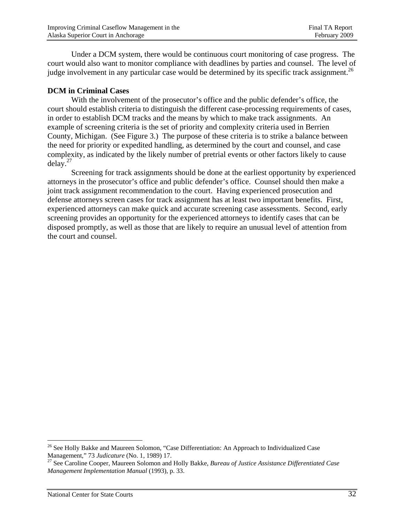Under a DCM system, there would be continuous court monitoring of case progress. The court would also want to monitor compliance with deadlines by parties and counsel. The level of judge involvement in any particular case would be determined by its specific track assignment.<sup>26</sup>

#### **DCM in Criminal Cases**

With the involvement of the prosecutor's office and the public defender's office, the court should establish criteria to distinguish the different case-processing requirements of cases, in order to establish DCM tracks and the means by which to make track assignments. An example of screening criteria is the set of priority and complexity criteria used in Berrien County, Michigan. (See Figure 3.) The purpose of these criteria is to strike a balance between the need for priority or expedited handling, as determined by the court and counsel, and case complexity, as indicated by the likely number of pretrial events or other factors likely to cause  $delay.<sup>27</sup>$ 

Screening for track assignments should be done at the earliest opportunity by experienced attorneys in the prosecutor's office and public defender's office. Counsel should then make a joint track assignment recommendation to the court. Having experienced prosecution and defense attorneys screen cases for track assignment has at least two important benefits. First, experienced attorneys can make quick and accurate screening case assessments. Second, early screening provides an opportunity for the experienced attorneys to identify cases that can be disposed promptly, as well as those that are likely to require an unusual level of attention from the court and counsel.

<sup>&</sup>lt;sup>26</sup> See Holly Bakke and Maureen Solomon, "Case Differentiation: An Approach to Individualized Case Management," 73 *Judicature* (No. 1, 1989) 17.<br><sup>27</sup> See Caroline Cooper, Maureen Solomon and Holly Bakke, *Bureau of Justice Assistance Differentiated Case* 

*Management Implementation Manual* (1993), p. 33.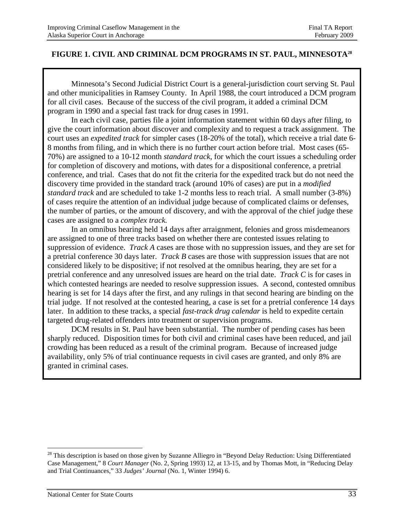#### **FIGURE 1. CIVIL AND CRIMINAL DCM PROGRAMS IN ST. PAUL, MINNESOTA28**

 Minnesota's Second Judicial District Court is a general-jurisdiction court serving St. Paul and other municipalities in Ramsey County. In April 1988, the court introduced a DCM program for all civil cases. Because of the success of the civil program, it added a criminal DCM program in 1990 and a special fast track for drug cases in 1991.

 In each civil case, parties file a joint information statement within 60 days after filing, to give the court information about discover and complexity and to request a track assignment. The court uses an *expedited track* for simpler cases (18-20% of the total), which receive a trial date 6- 8 months from filing, and in which there is no further court action before trial. Most cases (65- 70%) are assigned to a 10-12 month *standard track*, for which the court issues a scheduling order for completion of discovery and motions, with dates for a dispositional conference, a pretrial conference, and trial. Cases that do not fit the criteria for the expedited track but do not need the discovery time provided in the standard track (around 10% of cases) are put in a *modified standard track* and are scheduled to take 1-2 months less to reach trial. A small number (3-8%) of cases require the attention of an individual judge because of complicated claims or defenses, the number of parties, or the amount of discovery, and with the approval of the chief judge these cases are assigned to a *complex track.*

 In an omnibus hearing held 14 days after arraignment, felonies and gross misdemeanors are assigned to one of three tracks based on whether there are contested issues relating to suppression of evidence. *Track A* cases are those with no suppression issues, and they are set for a pretrial conference 30 days later. *Track B* cases are those with suppression issues that are not considered likely to be dispositive; if not resolved at the omnibus hearing, they are set for a pretrial conference and any unresolved issues are heard on the trial date. *Track C* is for cases in which contested hearings are needed to resolve suppression issues. A second, contested omnibus hearing is set for 14 days after the first, and any rulings in that second hearing are binding on the trial judge. If not resolved at the contested hearing, a case is set for a pretrial conference 14 days later. In addition to these tracks, a special *fast-track drug calendar* is held to expedite certain targeted drug-related offenders into treatment or supervision programs.

 DCM results in St. Paul have been substantial. The number of pending cases has been sharply reduced. Disposition times for both civil and criminal cases have been reduced, and jail crowding has been reduced as a result of the criminal program. Because of increased judge availability, only 5% of trial continuance requests in civil cases are granted, and only 8% are granted in criminal cases.

<sup>&</sup>lt;sup>28</sup> This description is based on those given by Suzanne Alliegro in "Beyond Delay Reduction: Using Differentiated Case Management," 8 *Court Manager* (No. 2, Spring 1993) 12, at 13-15, and by Thomas Mott, in "Reducing Delay and Trial Continuances," 33 *Judges' Journal* (No. 1, Winter 1994) 6.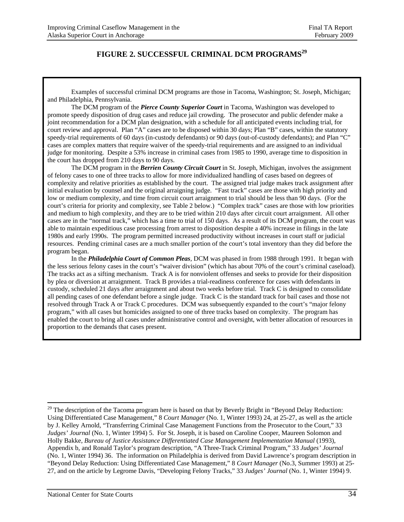### FIGURE 2. SUCCESSFUL CRIMINAL DCM PROGRAMS<sup>29</sup>

 Examples of successful criminal DCM programs are those in Tacoma, Washington; St. Joseph, Michigan; and Philadelphia, Pennsylvania.

The DCM program of the *Pierce County Superior Court* in Tacoma, Washington was developed to promote speedy disposition of drug cases and reduce jail crowding. The prosecutor and public defender make a joint recommendation for a DCM plan designation, with a schedule for all anticipated events including trial, for court review and approval. Plan "A" cases are to be disposed within 30 days; Plan "B" cases, within the statutory speedy-trial requirements of 60 days (in-custody defendants) or 90 days (out-of-custody defendants); and Plan "C" cases are complex matters that require waiver of the speedy-trial requirements and are assigned to an individual judge for monitoring. Despite a 53% increase in criminal cases from 1985 to 1990, average time to disposition in the court has dropped from 210 days to 90 days.

 The DCM program in the *Berrien County Circuit Court* in St. Joseph, Michigan, involves the assignment of felony cases to one of three tracks to allow for more individualized handling of cases based on degrees of complexity and relative priorities as established by the court. The assigned trial judge makes track assignment after initial evaluation by counsel and the original arraigning judge. "Fast track" cases are those with high priority and low or medium complexity, and time from circuit court arraignment to trial should be less than 90 days. (For the court's criteria for priority and complexity, see Table 2 below.) "Complex track" cases are those with low priorities and medium to high complexity, and they are to be tried within 210 days after circuit court arraignment. All other cases are in the "normal track," which has a time to trial of 150 days. As a result of its DCM program, the court was able to maintain expeditious case processing from arrest to disposition despite a 40% increase in filings in the late 1980s and early 1990s. The program permitted increased productivity without increases in court staff or judicial resources. Pending criminal cases are a much smaller portion of the court's total inventory than they did before the program began.

 In the *Philadelphia Court of Common Pleas,* DCM was phased in from 1988 through 1991. It began with the less serious felony cases in the court's "waiver division" (which has about 70% of the court's criminal caseload). The tracks act as a sifting mechanism. Track A is for nonviolent offenses and seeks to provide for their disposition by plea or diversion at arraignment. Track B provides a trial-readiness conference for cases with defendants in custody, scheduled 21 days after arraignment and about two weeks before trial. Track C is designed to consolidate all pending cases of one defendant before a single judge. Track C is the standard track for bail cases and those not resolved through Track A or Track C procedures. DCM was subsequently expanded to the court's "major felony program," with all cases but homicides assigned to one of three tracks based on complexity. The program has enabled the court to bring all cases under administrative control and oversight, with better allocation of resources in proportion to the demands that cases present.

<sup>&</sup>lt;sup>29</sup> The description of the Tacoma program here is based on that by Beverly Bright in "Beyond Delay Reduction: Using Differentiated Case Management," 8 *Court Manager* (No. 1, Winter 1993) 24, at 25-27, as well as the article by J. Kelley Arnold, "Transferring Criminal Case Management Functions from the Prosecutor to the Court," 33 *Judges' Journal* (No. 1, Winter 1994) 5. For St. Joseph, it is based on Caroline Cooper, Maureen Solomon and Holly Bakke, *Bureau of Justice Assistance Differentiated Case Management Implementation Manual* (1993), Appendix b, and Ronald Taylor's program description, "A Three-Track Criminal Program," 33 *Judges' Journal* (No. 1, Winter 1994) 36. The information on Philadelphia is derived from David Lawrence's program description in "Beyond Delay Reduction: Using Differentiated Case Management," 8 *Court Manager* (No.3, Summer 1993) at 25- 27, and on the article by Legrome Davis, "Developing Felony Tracks," 33 *Judges' Journal* (No. 1, Winter 1994) 9.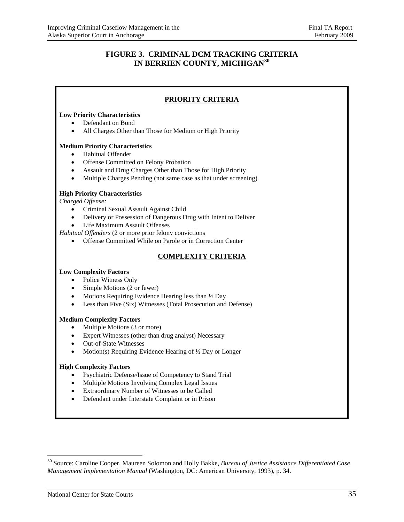#### **FIGURE 3. CRIMINAL DCM TRACKING CRITERIA IN BERRIEN COUNTY, MICHIGAN<sup>30</sup>**

#### **PRIORITY CRITERIA**

#### **Low Priority Characteristics**

- Defendant on Bond
- All Charges Other than Those for Medium or High Priority

#### **Medium Priority Characteristics**

- Habitual Offender
- Offense Committed on Felony Probation
- Assault and Drug Charges Other than Those for High Priority
- Multiple Charges Pending (not same case as that under screening)

#### **High Priority Characteristics**

*Charged Offense:*

- Criminal Sexual Assault Against Child
- Delivery or Possession of Dangerous Drug with Intent to Deliver
- Life Maximum Assault Offenses

*Habitual Offenders* (2 or more prior felony convictions

Offense Committed While on Parole or in Correction Center

#### **COMPLEXITY CRITERIA**

#### **Low Complexity Factors**

- Police Witness Only
- Simple Motions (2 or fewer)
- $\bullet$  Motions Requiring Evidence Hearing less than  $\frac{1}{2}$  Day
- Less than Five (Six) Witnesses (Total Prosecution and Defense)

#### **Medium Complexity Factors**

- Multiple Motions (3 or more)
- Expert Witnesses (other than drug analyst) Necessary
- Out-of-State Witnesses
- Motion(s) Requiring Evidence Hearing of 1/2 Day or Longer

#### **High Complexity Factors**

- Psychiatric Defense/Issue of Competency to Stand Trial
- Multiple Motions Involving Complex Legal Issues
- Extraordinary Number of Witnesses to be Called
- Defendant under Interstate Complaint or in Prison

<sup>30</sup> Source: Caroline Cooper, Maureen Solomon and Holly Bakke, *Bureau of Justice Assistance Differentiated Case Management Implementation Manual* (Washington, DC: American University, 1993), p. 34.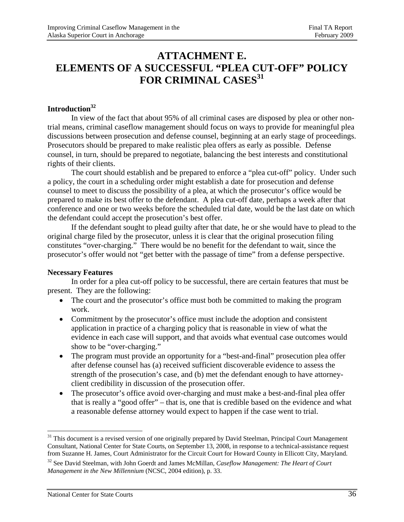## **ATTACHMENT E. ELEMENTS OF A SUCCESSFUL "PLEA CUT-OFF" POLICY**  FOR CRIMINAL CASES<sup>31</sup>

#### **Introduction32**

In view of the fact that about 95% of all criminal cases are disposed by plea or other nontrial means, criminal caseflow management should focus on ways to provide for meaningful plea discussions between prosecution and defense counsel, beginning at an early stage of proceedings. Prosecutors should be prepared to make realistic plea offers as early as possible. Defense counsel, in turn, should be prepared to negotiate, balancing the best interests and constitutional rights of their clients.

The court should establish and be prepared to enforce a "plea cut-off" policy. Under such a policy, the court in a scheduling order might establish a date for prosecution and defense counsel to meet to discuss the possibility of a plea, at which the prosecutor's office would be prepared to make its best offer to the defendant. A plea cut-off date, perhaps a week after that conference and one or two weeks before the scheduled trial date, would be the last date on which the defendant could accept the prosecution's best offer.

If the defendant sought to plead guilty after that date, he or she would have to plead to the original charge filed by the prosecutor, unless it is clear that the original prosecution filing constitutes "over-charging." There would be no benefit for the defendant to wait, since the prosecutor's offer would not "get better with the passage of time" from a defense perspective.

#### **Necessary Features**

 In order for a plea cut-off policy to be successful, there are certain features that must be present. They are the following:

- The court and the prosecutor's office must both be committed to making the program work.
- Commitment by the prosecutor's office must include the adoption and consistent application in practice of a charging policy that is reasonable in view of what the evidence in each case will support, and that avoids what eventual case outcomes would show to be "over-charging."
- The program must provide an opportunity for a "best-and-final" prosecution plea offer after defense counsel has (a) received sufficient discoverable evidence to assess the strength of the prosecution's case, and (b) met the defendant enough to have attorneyclient credibility in discussion of the prosecution offer.
- The prosecutor's office avoid over-charging and must make a best-and-final plea offer that is really a "good offer" – that is, one that is credible based on the evidence and what a reasonable defense attorney would expect to happen if the case went to trial.

<sup>&</sup>lt;sup>31</sup> This document is a revised version of one originally prepared by David Steelman, Principal Court Management Consultant, National Center for State Courts, on September 13, 2008, in response to a technical-assistance request from Suzanne H. James, Court Administrator for the Circuit Court for Howard County in Ellicott City, Maryland.

<sup>32</sup> See David Steelman, with John Goerdt and James McMillan, *Caseflow Management: The Heart of Court Management in the New Millennium* (NCSC, 2004 edition), p. 33.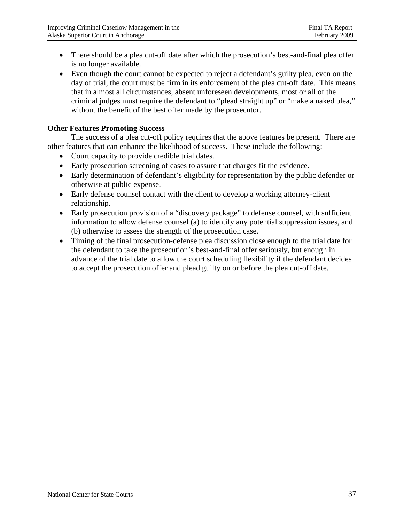- There should be a plea cut-off date after which the prosecution's best-and-final plea offer is no longer available.
- Even though the court cannot be expected to reject a defendant's guilty plea, even on the day of trial, the court must be firm in its enforcement of the plea cut-off date. This means that in almost all circumstances, absent unforeseen developments, most or all of the criminal judges must require the defendant to "plead straight up" or "make a naked plea," without the benefit of the best offer made by the prosecutor.

#### **Other Features Promoting Success**

 The success of a plea cut-off policy requires that the above features be present. There are other features that can enhance the likelihood of success. These include the following:

- Court capacity to provide credible trial dates.
- Early prosecution screening of cases to assure that charges fit the evidence.
- Early determination of defendant's eligibility for representation by the public defender or otherwise at public expense.
- Early defense counsel contact with the client to develop a working attorney-client relationship.
- Early prosecution provision of a "discovery package" to defense counsel, with sufficient information to allow defense counsel (a) to identify any potential suppression issues, and (b) otherwise to assess the strength of the prosecution case.
- Timing of the final prosecution-defense plea discussion close enough to the trial date for the defendant to take the prosecution's best-and-final offer seriously, but enough in advance of the trial date to allow the court scheduling flexibility if the defendant decides to accept the prosecution offer and plead guilty on or before the plea cut-off date.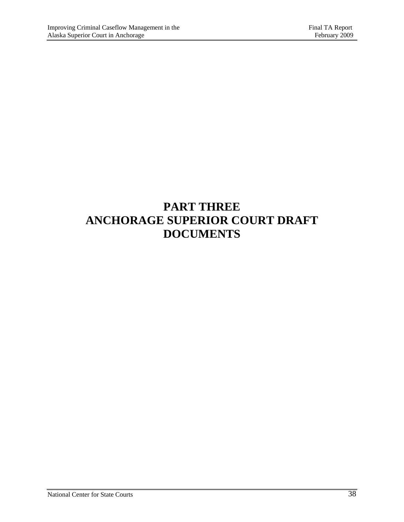## **PART THREE ANCHORAGE SUPERIOR COURT DRAFT DOCUMENTS**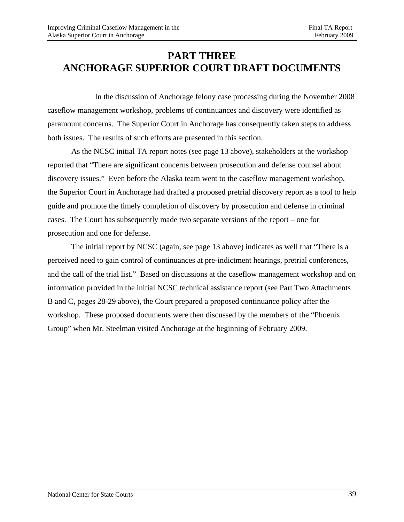## **PART THREE ANCHORAGE SUPERIOR COURT DRAFT DOCUMENTS**

 In the discussion of Anchorage felony case processing during the November 2008 caseflow management workshop, problems of continuances and discovery were identified as paramount concerns. The Superior Court in Anchorage has consequently taken steps to address both issues. The results of such efforts are presented in this section.

As the NCSC initial TA report notes (see page 13 above), stakeholders at the workshop reported that "There are significant concerns between prosecution and defense counsel about discovery issues." Even before the Alaska team went to the caseflow management workshop, the Superior Court in Anchorage had drafted a proposed pretrial discovery report as a tool to help guide and promote the timely completion of discovery by prosecution and defense in criminal cases. The Court has subsequently made two separate versions of the report – one for prosecution and one for defense.

The initial report by NCSC (again, see page 13 above) indicates as well that "There is a perceived need to gain control of continuances at pre-indictment hearings, pretrial conferences, and the call of the trial list." Based on discussions at the caseflow management workshop and on information provided in the initial NCSC technical assistance report (see Part Two Attachments B and C, pages 28-29 above), the Court prepared a proposed continuance policy after the workshop. These proposed documents were then discussed by the members of the "Phoenix Group" when Mr. Steelman visited Anchorage at the beginning of February 2009.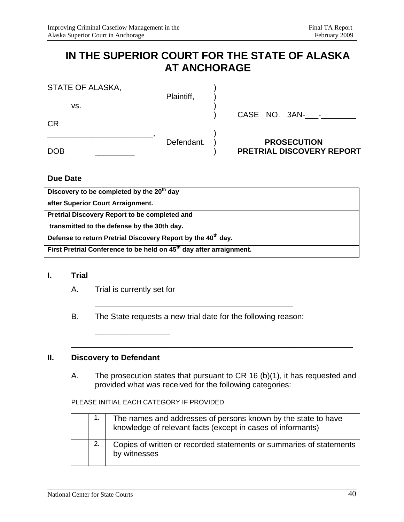## **IN THE SUPERIOR COURT FOR THE STATE OF ALASKA AT ANCHORAGE**

| CASE NO. 3AN- - |
|-----------------|
|                 |
|                 |

#### **Due Date**

| Discovery to be completed by the 20 <sup>th</sup> day                           |  |
|---------------------------------------------------------------------------------|--|
| after Superior Court Arraignment.                                               |  |
| Pretrial Discovery Report to be completed and                                   |  |
| transmitted to the defense by the 30th day.                                     |  |
| Defense to return Pretrial Discovery Report by the 40 <sup>th</sup> day.        |  |
| First Pretrial Conference to be held on 45 <sup>th</sup> day after arraignment. |  |

#### **I. Trial**

A. Trial is currently set for

\_\_\_\_\_\_\_\_\_\_\_\_\_\_\_\_\_

B. The State requests a new trial date for the following reason:

\_\_\_\_\_\_\_\_\_\_\_\_\_\_\_\_\_\_\_\_\_\_\_\_\_\_\_\_\_\_\_\_\_\_\_\_\_\_\_\_\_\_\_\_\_

#### **II. Discovery to Defendant**

A. The prosecution states that pursuant to CR 16 (b)(1), it has requested and provided what was received for the following categories:

\_\_\_\_\_\_\_\_\_\_\_\_\_\_\_\_\_\_\_\_\_\_\_\_\_\_\_\_\_\_\_\_\_\_\_\_\_\_\_\_\_\_\_\_\_\_\_\_\_\_\_\_\_\_\_\_\_\_\_\_\_\_\_\_

#### PLEASE INITIAL EACH CATEGORY IF PROVIDED

|  | The names and addresses of persons known by the state to have<br>knowledge of relevant facts (except in cases of informants) |
|--|------------------------------------------------------------------------------------------------------------------------------|
|  | Copies of written or recorded statements or summaries of statements<br>by witnesses                                          |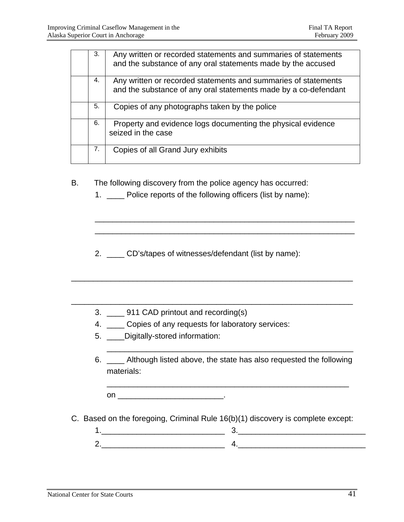| 3. | Any written or recorded statements and summaries of statements<br>and the substance of any oral statements made by the accused    |
|----|-----------------------------------------------------------------------------------------------------------------------------------|
| 4. | Any written or recorded statements and summaries of statements<br>and the substance of any oral statements made by a co-defendant |
| 5. | Copies of any photographs taken by the police                                                                                     |
| 6. | Property and evidence logs documenting the physical evidence<br>seized in the case                                                |
| 7. | Copies of all Grand Jury exhibits                                                                                                 |

B. The following discovery from the police agency has occurred:

1. \_\_\_\_ Police reports of the following officers (list by name):

\_\_\_\_\_\_\_\_\_\_\_\_\_\_\_\_\_\_\_\_\_\_\_\_\_\_\_\_\_\_\_\_\_\_\_\_\_\_\_\_\_\_\_\_\_\_\_\_\_\_\_\_\_\_\_\_\_\_\_

2. \_\_\_\_ CD's/tapes of witnesses/defendant (list by name):

\_\_\_\_\_\_\_\_\_\_\_\_\_\_\_\_\_\_\_\_\_\_\_\_\_\_\_\_\_\_\_\_\_\_\_\_\_\_\_\_\_\_\_\_\_\_\_\_\_\_\_\_\_\_\_\_\_\_\_\_\_\_\_\_

 $\frac{1}{2}$  ,  $\frac{1}{2}$  ,  $\frac{1}{2}$  ,  $\frac{1}{2}$  ,  $\frac{1}{2}$  ,  $\frac{1}{2}$  ,  $\frac{1}{2}$  ,  $\frac{1}{2}$  ,  $\frac{1}{2}$  ,  $\frac{1}{2}$  ,  $\frac{1}{2}$  ,  $\frac{1}{2}$  ,  $\frac{1}{2}$  ,  $\frac{1}{2}$  ,  $\frac{1}{2}$  ,  $\frac{1}{2}$  ,  $\frac{1}{2}$  ,  $\frac{1}{2}$  ,  $\frac{1$ 

- 3. \_\_\_\_ 911 CAD printout and recording(s)
- 4. \_\_\_\_ Copies of any requests for laboratory services:
- 5. \_\_\_\_Digitally-stored information:
- 6. \_\_\_\_ Although listed above, the state has also requested the following materials:

\_\_\_\_\_\_\_\_\_\_\_\_\_\_\_\_\_\_\_\_\_\_\_\_\_\_\_\_\_\_\_\_\_\_\_\_\_\_\_\_\_\_\_\_\_\_\_\_\_\_\_\_\_\_\_

\_\_\_\_\_\_\_\_\_\_\_\_\_\_\_\_\_\_\_\_\_\_\_\_\_\_\_\_\_\_\_\_\_\_\_\_\_\_\_\_\_\_\_\_\_\_\_\_\_\_\_\_\_\_\_\_

on \_\_\_\_\_\_\_\_\_\_\_\_\_\_\_\_\_\_\_\_\_\_\_\_.

- C. Based on the foregoing, Criminal Rule 16(b)(1) discovery is complete except:
	- 1.\_\_\_\_\_\_\_\_\_\_\_\_\_\_\_\_\_\_\_\_\_\_\_\_\_\_\_\_ 3.\_\_\_\_\_\_\_\_\_\_\_\_\_\_\_\_\_\_\_\_\_\_\_\_\_\_\_\_\_ 2.\_\_\_\_\_\_\_\_\_\_\_\_\_\_\_\_\_\_\_\_\_\_\_\_\_\_\_\_ 4.\_\_\_\_\_\_\_\_\_\_\_\_\_\_\_\_\_\_\_\_\_\_\_\_\_\_\_\_\_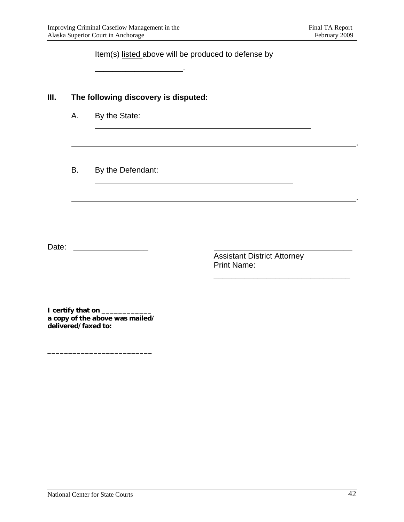Item(s) listed above will be produced to defense by

\_\_\_\_\_\_\_\_\_\_\_\_\_\_\_\_\_\_\_\_\_\_\_\_\_\_\_\_\_\_\_\_\_\_\_\_\_\_\_\_\_\_\_\_\_\_\_\_\_

\_\_\_\_\_\_\_\_\_\_\_\_\_\_\_\_\_\_\_\_\_\_\_\_\_\_\_\_\_\_\_\_\_\_\_\_\_\_\_\_\_\_\_\_\_

<u>. Andre de la contrada de la contrada de la contrada de la contrada de la contrada de la contrada de la contra</u>

<u>. Andre Sterne and Sterne and Sterne and Sterne and Sterne and Sterne and Sterne and Sterne and Sterne and St</u>

**III. The following discovery is disputed:**

\_\_\_\_\_\_\_\_\_\_\_\_\_\_\_\_\_\_\_\_.

- A. By the State:
- B. By the Defendant:

Date: \_\_\_\_\_\_\_\_\_\_\_\_\_\_\_\_\_ \_\_\_\_\_\_\_\_\_\_\_\_\_\_ \_\_\_\_\_

Assistant District Attorney Print Name:

\_\_\_\_\_\_\_\_\_\_\_\_\_\_\_\_\_\_\_\_\_\_\_\_\_\_\_\_\_\_\_

**I** certify that on \_\_\_\_\_\_\_\_\_\_\_\_ **a copy of the above was mailed/ delivered/faxed to:** 

**\_\_\_\_\_\_\_\_\_\_\_\_\_\_\_\_\_\_\_\_\_\_\_\_\_**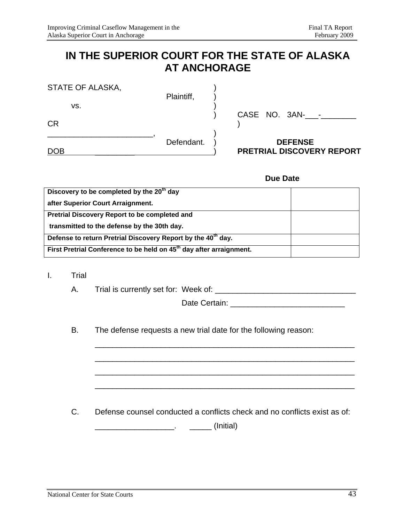## **IN THE SUPERIOR COURT FOR THE STATE OF ALASKA AT ANCHORAGE**

| <b>DOB</b>              | Defendant. | <b>DEFENSE</b><br><b>PRETRIAL DISCOVERY REPORT</b> |
|-------------------------|------------|----------------------------------------------------|
| <b>CR</b>               |            | CASE NO. 3AN-<br>-                                 |
| STATE OF ALASKA,<br>VS. | Plaintiff, |                                                    |

#### **Due Date**

| Discovery to be completed by the 20 <sup>th</sup> day                           |  |
|---------------------------------------------------------------------------------|--|
| after Superior Court Arraignment.                                               |  |
| Pretrial Discovery Report to be completed and                                   |  |
| transmitted to the defense by the 30th day.                                     |  |
| Defense to return Pretrial Discovery Report by the 40 <sup>th</sup> day.        |  |
| First Pretrial Conference to be held on 45 <sup>th</sup> day after arraignment. |  |

- I. Trial
	- A. Trial is currently set for: Week of: \_\_\_\_\_\_\_\_\_\_\_\_\_\_\_\_\_\_\_\_\_\_\_\_\_\_\_\_\_\_\_\_

Date Certain: \_\_\_\_\_\_\_\_\_\_\_\_\_\_\_\_\_\_\_\_\_\_\_\_\_\_

B. The defense requests a new trial date for the following reason:

 $\overline{\phantom{a}}$  , and the contract of the contract of the contract of the contract of the contract of the contract of the contract of the contract of the contract of the contract of the contract of the contract of the contrac

 $\frac{1}{\sqrt{2}}$  ,  $\frac{1}{\sqrt{2}}$  ,  $\frac{1}{\sqrt{2}}$  ,  $\frac{1}{\sqrt{2}}$  ,  $\frac{1}{\sqrt{2}}$  ,  $\frac{1}{\sqrt{2}}$  ,  $\frac{1}{\sqrt{2}}$  ,  $\frac{1}{\sqrt{2}}$  ,  $\frac{1}{\sqrt{2}}$  ,  $\frac{1}{\sqrt{2}}$  ,  $\frac{1}{\sqrt{2}}$  ,  $\frac{1}{\sqrt{2}}$  ,  $\frac{1}{\sqrt{2}}$  ,  $\frac{1}{\sqrt{2}}$  ,  $\frac{1}{\sqrt{2}}$ 

 $\frac{1}{\sqrt{2}}$  ,  $\frac{1}{\sqrt{2}}$  ,  $\frac{1}{\sqrt{2}}$  ,  $\frac{1}{\sqrt{2}}$  ,  $\frac{1}{\sqrt{2}}$  ,  $\frac{1}{\sqrt{2}}$  ,  $\frac{1}{\sqrt{2}}$  ,  $\frac{1}{\sqrt{2}}$  ,  $\frac{1}{\sqrt{2}}$  ,  $\frac{1}{\sqrt{2}}$  ,  $\frac{1}{\sqrt{2}}$  ,  $\frac{1}{\sqrt{2}}$  ,  $\frac{1}{\sqrt{2}}$  ,  $\frac{1}{\sqrt{2}}$  ,  $\frac{1}{\sqrt{2}}$ 

 $\frac{1}{\sqrt{2}}$  ,  $\frac{1}{\sqrt{2}}$  ,  $\frac{1}{\sqrt{2}}$  ,  $\frac{1}{\sqrt{2}}$  ,  $\frac{1}{\sqrt{2}}$  ,  $\frac{1}{\sqrt{2}}$  ,  $\frac{1}{\sqrt{2}}$  ,  $\frac{1}{\sqrt{2}}$  ,  $\frac{1}{\sqrt{2}}$  ,  $\frac{1}{\sqrt{2}}$  ,  $\frac{1}{\sqrt{2}}$  ,  $\frac{1}{\sqrt{2}}$  ,  $\frac{1}{\sqrt{2}}$  ,  $\frac{1}{\sqrt{2}}$  ,  $\frac{1}{\sqrt{2}}$ 

C. Defense counsel conducted a conflicts check and no conflicts exist as of:

\_\_\_\_\_\_\_\_\_\_\_\_\_\_\_\_\_\_. \_\_\_\_\_ (Initial)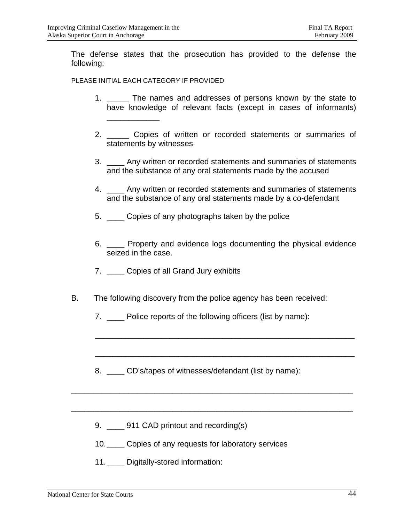The defense states that the prosecution has provided to the defense the following:

#### PLEASE INITIAL EACH CATEGORY IF PROVIDED

\_\_\_\_\_\_\_\_\_\_\_\_

- 1. The names and addresses of persons known by the state to have knowledge of relevant facts (except in cases of informants)
- 2. \_\_\_\_\_ Copies of written or recorded statements or summaries of statements by witnesses
- 3. \_\_\_\_ Any written or recorded statements and summaries of statements and the substance of any oral statements made by the accused
- 4. \_\_\_\_ Any written or recorded statements and summaries of statements and the substance of any oral statements made by a co-defendant
- 5. \_\_\_\_ Copies of any photographs taken by the police
- 6. Property and evidence logs documenting the physical evidence seized in the case.

\_\_\_\_\_\_\_\_\_\_\_\_\_\_\_\_\_\_\_\_\_\_\_\_\_\_\_\_\_\_\_\_\_\_\_\_\_\_\_\_\_\_\_\_\_\_\_\_\_\_\_\_\_\_\_\_\_\_\_

\_\_\_\_\_\_\_\_\_\_\_\_\_\_\_\_\_\_\_\_\_\_\_\_\_\_\_\_\_\_\_\_\_\_\_\_\_\_\_\_\_\_\_\_\_\_\_\_\_\_\_\_\_\_\_\_\_\_\_

- 7. \_\_\_\_ Copies of all Grand Jury exhibits
- B. The following discovery from the police agency has been received:
	- 7. \_\_\_\_ Police reports of the following officers (list by name):
	- 8. CD's/tapes of witnesses/defendant (list by name):

 $\frac{1}{2}$  ,  $\frac{1}{2}$  ,  $\frac{1}{2}$  ,  $\frac{1}{2}$  ,  $\frac{1}{2}$  ,  $\frac{1}{2}$  ,  $\frac{1}{2}$  ,  $\frac{1}{2}$  ,  $\frac{1}{2}$  ,  $\frac{1}{2}$  ,  $\frac{1}{2}$  ,  $\frac{1}{2}$  ,  $\frac{1}{2}$  ,  $\frac{1}{2}$  ,  $\frac{1}{2}$  ,  $\frac{1}{2}$  ,  $\frac{1}{2}$  ,  $\frac{1}{2}$  ,  $\frac{1$ 

\_\_\_\_\_\_\_\_\_\_\_\_\_\_\_\_\_\_\_\_\_\_\_\_\_\_\_\_\_\_\_\_\_\_\_\_\_\_\_\_\_\_\_\_\_\_\_\_\_\_\_\_\_\_\_\_\_\_\_\_\_\_\_\_

- 9. 911 CAD printout and recording(s)
- 10. Copies of any requests for laboratory services
- 11. Digitally-stored information: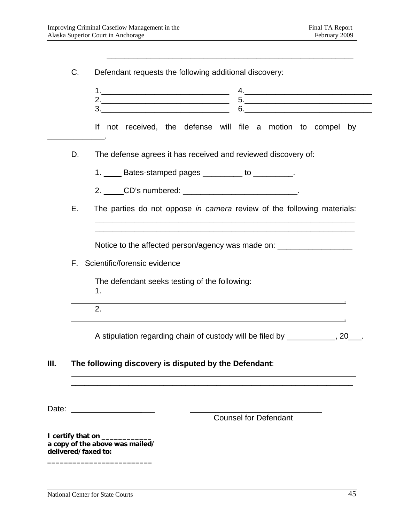|    | $\begin{array}{c} \n3. \begin{array}{ccc} \n\end{array} \n\end{array}$<br>$6. \underline{\hspace{2cm}}$ |
|----|---------------------------------------------------------------------------------------------------------|
|    | If not received, the defense will file a motion to compel by                                            |
| D. | The defense agrees it has received and reviewed discovery of:                                           |
|    | 1. _____ Bates-stamped pages __________ to __________.                                                  |
|    | 2. _____CD's numbered: ____________________________.                                                    |
|    |                                                                                                         |
| Е. | The parties do not oppose in camera review of the following materials:                                  |
|    | Notice to the affected person/agency was made on: ______________________________                        |
| F. | Scientific/forensic evidence                                                                            |
|    | The defendant seeks testing of the following:<br>1.                                                     |
|    | 2.                                                                                                      |

 $\frac{1}{2}$  ,  $\frac{1}{2}$  ,  $\frac{1}{2}$  ,  $\frac{1}{2}$  ,  $\frac{1}{2}$  ,  $\frac{1}{2}$  ,  $\frac{1}{2}$  ,  $\frac{1}{2}$  ,  $\frac{1}{2}$  ,  $\frac{1}{2}$  ,  $\frac{1}{2}$  ,  $\frac{1}{2}$  ,  $\frac{1}{2}$  ,  $\frac{1}{2}$  ,  $\frac{1}{2}$  ,  $\frac{1}{2}$  ,  $\frac{1}{2}$  ,  $\frac{1}{2}$  ,  $\frac{1$ 

\_\_\_\_\_\_\_\_\_\_\_\_\_\_\_\_\_\_\_\_\_\_\_\_\_\_\_\_\_\_\_\_\_\_\_\_\_\_\_\_\_\_\_\_\_\_\_\_\_\_\_\_\_\_\_\_

### **III. The following discovery is disputed by the Defendant**:

Date: \_\_\_\_\_\_\_\_\_\_\_\_\_\_\_\_\_\_\_ \_\_\_\_\_

 $\overline{a}$ 

Counsel for Defendant

**I** certify that on \_\_\_\_\_\_\_\_\_\_\_\_\_ **a copy of the above was mailed/ delivered/faxed to: \_\_\_\_\_\_\_\_\_\_\_\_\_\_\_\_\_\_\_\_\_\_\_\_\_**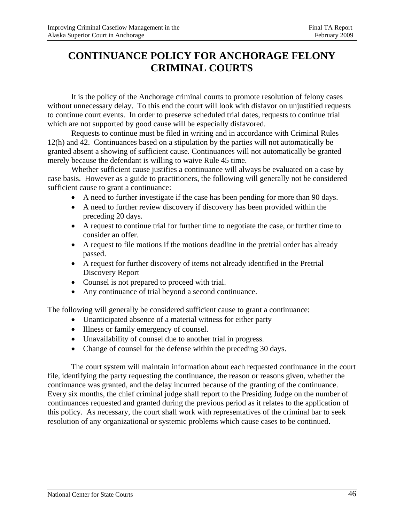## **CONTINUANCE POLICY FOR ANCHORAGE FELONY CRIMINAL COURTS**

 It is the policy of the Anchorage criminal courts to promote resolution of felony cases without unnecessary delay. To this end the court will look with disfavor on unjustified requests to continue court events. In order to preserve scheduled trial dates, requests to continue trial which are not supported by good cause will be especially disfavored.

 Requests to continue must be filed in writing and in accordance with Criminal Rules 12(h) and 42. Continuances based on a stipulation by the parties will not automatically be granted absent a showing of sufficient cause. Continuances will not automatically be granted merely because the defendant is willing to waive Rule 45 time.

 Whether sufficient cause justifies a continuance will always be evaluated on a case by case basis. However as a guide to practitioners, the following will generally not be considered sufficient cause to grant a continuance:

- A need to further investigate if the case has been pending for more than 90 days.
- A need to further review discovery if discovery has been provided within the preceding 20 days.
- A request to continue trial for further time to negotiate the case, or further time to consider an offer.
- A request to file motions if the motions deadline in the pretrial order has already passed.
- A request for further discovery of items not already identified in the Pretrial Discovery Report
- Counsel is not prepared to proceed with trial.
- Any continuance of trial beyond a second continuance.

The following will generally be considered sufficient cause to grant a continuance:

- Unanticipated absence of a material witness for either party
- Illness or family emergency of counsel.
- Unavailability of counsel due to another trial in progress.
- Change of counsel for the defense within the preceding 30 days.

The court system will maintain information about each requested continuance in the court file, identifying the party requesting the continuance, the reason or reasons given, whether the continuance was granted, and the delay incurred because of the granting of the continuance. Every six months, the chief criminal judge shall report to the Presiding Judge on the number of continuances requested and granted during the previous period as it relates to the application of this policy. As necessary, the court shall work with representatives of the criminal bar to seek resolution of any organizational or systemic problems which cause cases to be continued.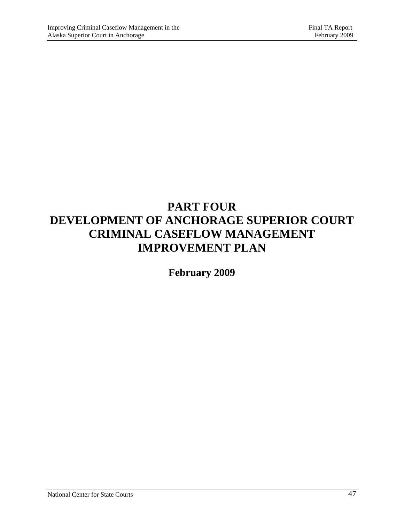## **PART FOUR DEVELOPMENT OF ANCHORAGE SUPERIOR COURT CRIMINAL CASEFLOW MANAGEMENT IMPROVEMENT PLAN**

**February 2009**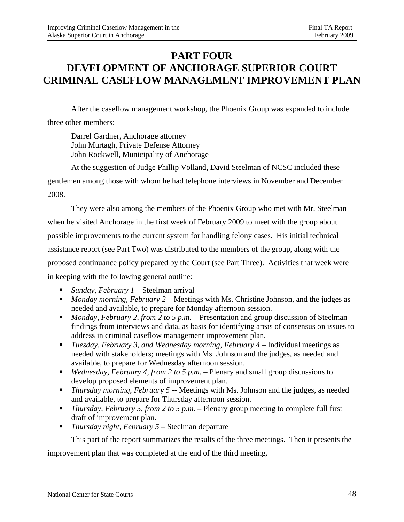## **PART FOUR DEVELOPMENT OF ANCHORAGE SUPERIOR COURT CRIMINAL CASEFLOW MANAGEMENT IMPROVEMENT PLAN**

 After the caseflow management workshop, the Phoenix Group was expanded to include three other members:

Darrel Gardner, Anchorage attorney John Murtagh, Private Defense Attorney John Rockwell, Municipality of Anchorage

At the suggestion of Judge Phillip Volland, David Steelman of NCSC included these

gentlemen among those with whom he had telephone interviews in November and December 2008.

They were also among the members of the Phoenix Group who met with Mr. Steelman when he visited Anchorage in the first week of February 2009 to meet with the group about possible improvements to the current system for handling felony cases. His initial technical assistance report (see Part Two) was distributed to the members of the group, along with the proposed continuance policy prepared by the Court (see Part Three). Activities that week were in keeping with the following general outline:

- *Sunday, February 1* Steelman arrival
- *Monday morning, February 2* Meetings with Ms. Christine Johnson, and the judges as needed and available, to prepare for Monday afternoon session.
- *Monday, February 2, from 2 to 5 p.m.* Presentation and group discussion of Steelman findings from interviews and data, as basis for identifying areas of consensus on issues to address in criminal caseflow management improvement plan.
- *Tuesday, February 3, and Wednesday morning, February 4* Individual meetings as needed with stakeholders; meetings with Ms. Johnson and the judges, as needed and available, to prepare for Wednesday afternoon session.
- *Wednesday, February 4, from 2 to 5 p.m.* Plenary and small group discussions to develop proposed elements of improvement plan.
- **Thursday morning, February 5 -- Meetings with Ms. Johnson and the judges, as needed** and available, to prepare for Thursday afternoon session.
- *Thursday, February 5, from 2 to 5 p.m.* Plenary group meeting to complete full first draft of improvement plan.
- *Thursday night, February 5* Steelman departure

This part of the report summarizes the results of the three meetings. Then it presents the

improvement plan that was completed at the end of the third meeting.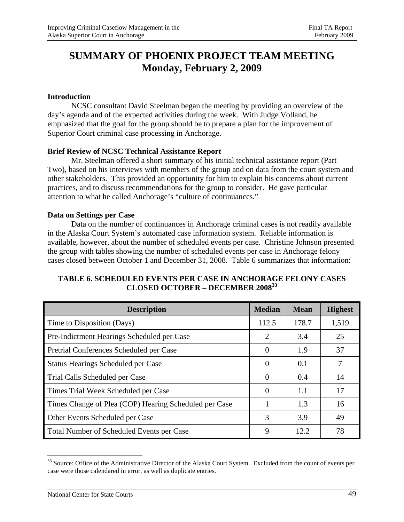## **SUMMARY OF PHOENIX PROJECT TEAM MEETING Monday, February 2, 2009**

#### **Introduction**

 NCSC consultant David Steelman began the meeting by providing an overview of the day's agenda and of the expected activities during the week. With Judge Volland, he emphasized that the goal for the group should be to prepare a plan for the improvement of Superior Court criminal case processing in Anchorage.

#### **Brief Review of NCSC Technical Assistance Report**

 Mr. Steelman offered a short summary of his initial technical assistance report (Part Two), based on his interviews with members of the group and on data from the court system and other stakeholders. This provided an opportunity for him to explain his concerns about current practices, and to discuss recommendations for the group to consider. He gave particular attention to what he called Anchorage's "culture of continuances."

#### **Data on Settings per Case**

 Data on the number of continuances in Anchorage criminal cases is not readily available in the Alaska Court System's automated case information system. Reliable information is available, however, about the number of scheduled events per case. Christine Johnson presented the group with tables showing the number of scheduled events per case in Anchorage felony cases closed between October 1 and December 31, 2008. Table 6 summarizes that information:

| <b>Description</b>                                    | <b>Median</b> | <b>Mean</b> | <b>Highest</b> |
|-------------------------------------------------------|---------------|-------------|----------------|
| Time to Disposition (Days)                            | 112.5         | 178.7       | 1,519          |
| Pre-Indictment Hearings Scheduled per Case            | 2             | 3.4         | 25             |
| Pretrial Conferences Scheduled per Case               | $\theta$      | 1.9         | 37             |
| <b>Status Hearings Scheduled per Case</b>             | $\theta$      | 0.1         | 7              |
| Trial Calls Scheduled per Case                        | $\Omega$      | 0.4         | 14             |
| Times Trial Week Scheduled per Case                   | $\Omega$      | 1.1         | 17             |
| Times Change of Plea (COP) Hearing Scheduled per Case |               | 1.3         | 16             |
| Other Events Scheduled per Case                       | 3             | 3.9         | 49             |
| Total Number of Scheduled Events per Case             | 9             | 12.2.       | 78             |

#### **TABLE 6. SCHEDULED EVENTS PER CASE IN ANCHORAGE FELONY CASES CLOSED OCTOBER – DECEMBER 200833**

<sup>&</sup>lt;sup>33</sup> Source: Office of the Administrative Director of the Alaska Court System. Excluded from the count of events per case were those calendared in error, as well as duplicate entries.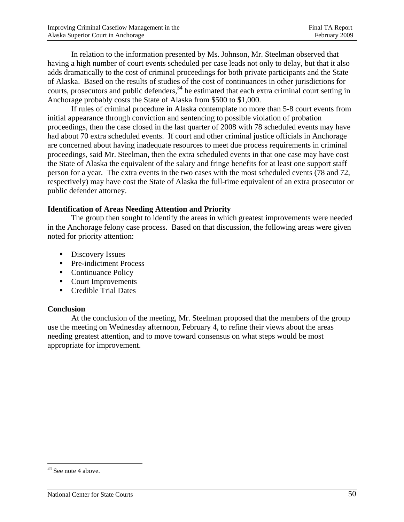In relation to the information presented by Ms. Johnson, Mr. Steelman observed that having a high number of court events scheduled per case leads not only to delay, but that it also adds dramatically to the cost of criminal proceedings for both private participants and the State of Alaska. Based on the results of studies of the cost of continuances in other jurisdictions for courts, prosecutors and public defenders,<sup>34</sup> he estimated that each extra criminal court setting in Anchorage probably costs the State of Alaska from \$500 to \$1,000.

If rules of criminal procedure in Alaska contemplate no more than 5-8 court events from initial appearance through conviction and sentencing to possible violation of probation proceedings, then the case closed in the last quarter of 2008 with 78 scheduled events may have had about 70 extra scheduled events. If court and other criminal justice officials in Anchorage are concerned about having inadequate resources to meet due process requirements in criminal proceedings, said Mr. Steelman, then the extra scheduled events in that one case may have cost the State of Alaska the equivalent of the salary and fringe benefits for at least one support staff person for a year. The extra events in the two cases with the most scheduled events (78 and 72, respectively) may have cost the State of Alaska the full-time equivalent of an extra prosecutor or public defender attorney.

#### **Identification of Areas Needing Attention and Priority**

 The group then sought to identify the areas in which greatest improvements were needed in the Anchorage felony case process. Based on that discussion, the following areas were given noted for priority attention:

- **Discovery Issues**
- Pre-indictment Process
- Continuance Policy
- Court Improvements
- Credible Trial Dates

#### **Conclusion**

 At the conclusion of the meeting, Mr. Steelman proposed that the members of the group use the meeting on Wednesday afternoon, February 4, to refine their views about the areas needing greatest attention, and to move toward consensus on what steps would be most appropriate for improvement.

<sup>&</sup>lt;sup>34</sup> See note 4 above.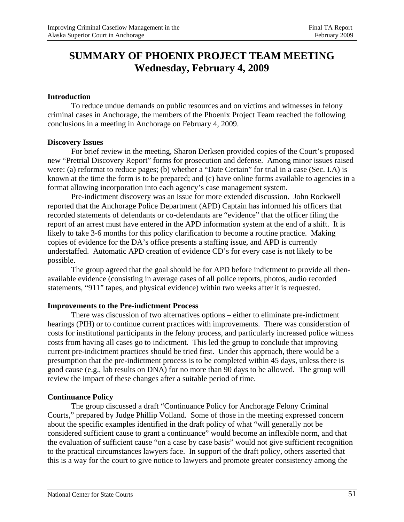## **SUMMARY OF PHOENIX PROJECT TEAM MEETING Wednesday, February 4, 2009**

#### **Introduction**

 To reduce undue demands on public resources and on victims and witnesses in felony criminal cases in Anchorage, the members of the Phoenix Project Team reached the following conclusions in a meeting in Anchorage on February 4, 2009.

#### **Discovery Issues**

 For brief review in the meeting, Sharon Derksen provided copies of the Court's proposed new "Pretrial Discovery Report" forms for prosecution and defense. Among minor issues raised were: (a) reformat to reduce pages; (b) whether a "Date Certain" for trial in a case (Sec. I.A) is known at the time the form is to be prepared; and  $(c)$  have online forms available to agencies in a format allowing incorporation into each agency's case management system.

Pre-indictment discovery was an issue for more extended discussion. John Rockwell reported that the Anchorage Police Department (APD) Captain has informed his officers that recorded statements of defendants or co-defendants are "evidence" that the officer filing the report of an arrest must have entered in the APD information system at the end of a shift. It is likely to take 3-6 months for this policy clarification to become a routine practice. Making copies of evidence for the DA's office presents a staffing issue, and APD is currently understaffed. Automatic APD creation of evidence CD's for every case is not likely to be possible.

The group agreed that the goal should be for APD before indictment to provide all thenavailable evidence (consisting in average cases of all police reports, photos, audio recorded statements, "911" tapes, and physical evidence) within two weeks after it is requested.

#### **Improvements to the Pre-indictment Process**

 There was discussion of two alternatives options – either to eliminate pre-indictment hearings (PIH) or to continue current practices with improvements. There was consideration of costs for institutional participants in the felony process, and particularly increased police witness costs from having all cases go to indictment. This led the group to conclude that improving current pre-indictment practices should be tried first. Under this approach, there would be a presumption that the pre-indictment process is to be completed within 45 days, unless there is good cause (e.g., lab results on DNA) for no more than 90 days to be allowed. The group will review the impact of these changes after a suitable period of time.

#### **Continuance Policy**

 The group discussed a draft "Continuance Policy for Anchorage Felony Criminal Courts," prepared by Judge Phillip Volland. Some of those in the meeting expressed concern about the specific examples identified in the draft policy of what "will generally not be considered sufficient cause to grant a continuance" would become an inflexible norm, and that the evaluation of sufficient cause "on a case by case basis" would not give sufficient recognition to the practical circumstances lawyers face. In support of the draft policy, others asserted that this is a way for the court to give notice to lawyers and promote greater consistency among the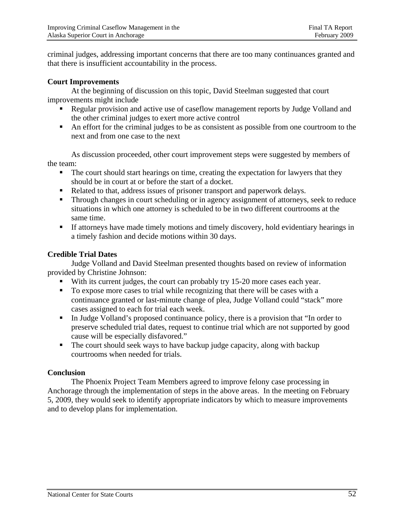criminal judges, addressing important concerns that there are too many continuances granted and that there is insufficient accountability in the process.

#### **Court Improvements**

 At the beginning of discussion on this topic, David Steelman suggested that court improvements might include

- Regular provision and active use of caseflow management reports by Judge Volland and the other criminal judges to exert more active control
- An effort for the criminal judges to be as consistent as possible from one courtroom to the next and from one case to the next

As discussion proceeded, other court improvement steps were suggested by members of the team:

- The court should start hearings on time, creating the expectation for lawyers that they should be in court at or before the start of a docket.
- Related to that, address issues of prisoner transport and paperwork delays.
- **Through changes in court scheduling or in agency assignment of attorneys, seek to reduce** situations in which one attorney is scheduled to be in two different courtrooms at the same time.
- If attorneys have made timely motions and timely discovery, hold evidentiary hearings in a timely fashion and decide motions within 30 days.

#### **Credible Trial Dates**

 Judge Volland and David Steelman presented thoughts based on review of information provided by Christine Johnson:

- With its current judges, the court can probably try 15-20 more cases each year.
- To expose more cases to trial while recognizing that there will be cases with a continuance granted or last-minute change of plea, Judge Volland could "stack" more cases assigned to each for trial each week.
- In Judge Volland's proposed continuance policy, there is a provision that "In order to preserve scheduled trial dates, request to continue trial which are not supported by good cause will be especially disfavored."
- The court should seek ways to have backup judge capacity, along with backup courtrooms when needed for trials.

#### **Conclusion**

 The Phoenix Project Team Members agreed to improve felony case processing in Anchorage through the implementation of steps in the above areas. In the meeting on February 5, 2009, they would seek to identify appropriate indicators by which to measure improvements and to develop plans for implementation.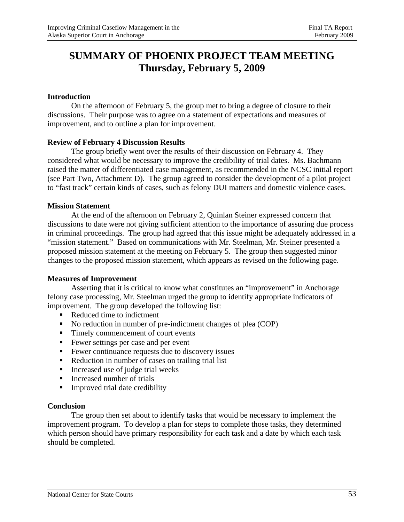## **SUMMARY OF PHOENIX PROJECT TEAM MEETING Thursday, February 5, 2009**

#### **Introduction**

 On the afternoon of February 5, the group met to bring a degree of closure to their discussions. Their purpose was to agree on a statement of expectations and measures of improvement, and to outline a plan for improvement.

#### **Review of February 4 Discussion Results**

 The group briefly went over the results of their discussion on February 4. They considered what would be necessary to improve the credibility of trial dates. Ms. Bachmann raised the matter of differentiated case management, as recommended in the NCSC initial report (see Part Two, Attachment D). The group agreed to consider the development of a pilot project to "fast track" certain kinds of cases, such as felony DUI matters and domestic violence cases.

#### **Mission Statement**

 At the end of the afternoon on February 2, Quinlan Steiner expressed concern that discussions to date were not giving sufficient attention to the importance of assuring due process in criminal proceedings. The group had agreed that this issue might be adequately addressed in a "mission statement." Based on communications with Mr. Steelman, Mr. Steiner presented a proposed mission statement at the meeting on February 5. The group then suggested minor changes to the proposed mission statement, which appears as revised on the following page.

#### **Measures of Improvement**

Asserting that it is critical to know what constitutes an "improvement" in Anchorage felony case processing, Mr. Steelman urged the group to identify appropriate indicators of improvement. The group developed the following list:

- Reduced time to indictment
- No reduction in number of pre-indictment changes of plea (COP)
- Timely commencement of court events
- Fewer settings per case and per event
- **Fewer continuance requests due to discovery issues**
- Reduction in number of cases on trailing trial list
- $\blacksquare$  Increased use of judge trial weeks
- **Increased number of trials**
- **Improved trial date credibility**

#### **Conclusion**

The group then set about to identify tasks that would be necessary to implement the improvement program. To develop a plan for steps to complete those tasks, they determined which person should have primary responsibility for each task and a date by which each task should be completed.